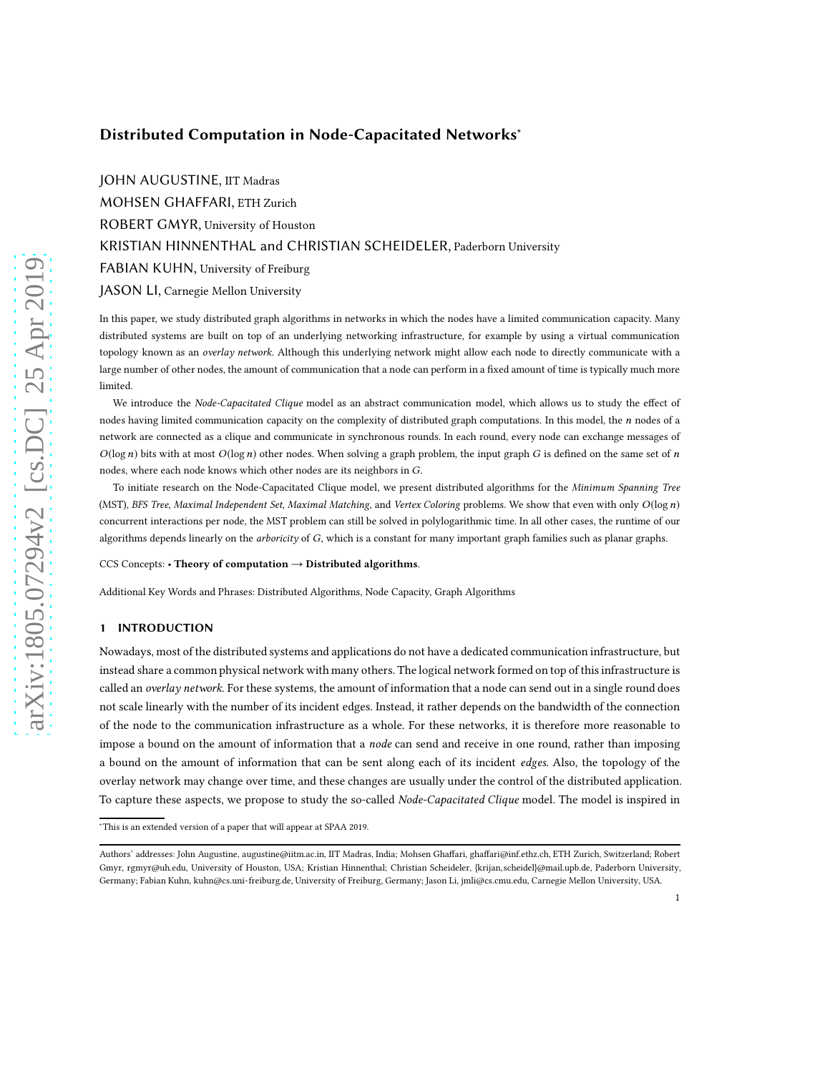# Distributed Computation in Node-Capacitated Networks<sup>\*</sup>

JOHN AUGUSTINE, IIT Madras MOHSEN GHAFFARI, ETH Zurich ROBERT GMYR, University of Houston KRISTIAN HINNENTHAL and CHRISTIAN SCHEIDELER, Paderborn University FABIAN KUHN, University of Freiburg JASON LI, Carnegie Mellon University

In this paper, we study distributed graph algorithms in networks in which the nodes have a limited communication capacity. Many distributed systems are built on top of an underlying networking infrastructure, for example by using a virtual communication topology known as an overlay network. Although this underlying network might allow each node to directly communicate with a large number of other nodes, the amount of communication that a node can perform in a fixed amount of time is typically much more limited.

We introduce the Node-Capacitated Clique model as an abstract communication model, which allows us to study the effect of nodes having limited communication capacity on the complexity of distributed graph computations. In this model, the  $n$  nodes of a network are connected as a clique and communicate in synchronous rounds. In each round, every node can exchange messages of  $O(\log n)$  bits with at most  $O(\log n)$  other nodes. When solving a graph problem, the input graph G is defined on the same set of n nodes, where each node knows which other nodes are its neighbors in G.

To initiate research on the Node-Capacitated Clique model, we present distributed algorithms for the Minimum Spanning Tree (MST), BFS Tree, Maximal Independent Set, Maximal Matching, and Vertex Coloring problems. We show that even with only  $O(\log n)$ concurrent interactions per node, the MST problem can still be solved in polylogarithmic time. In all other cases, the runtime of our algorithms depends linearly on the arboricity of G, which is a constant for many important graph families such as planar graphs.

CCS Concepts: • Theory of computation  $\rightarrow$  Distributed algorithms.

Additional Key Words and Phrases: Distributed Algorithms, Node Capacity, Graph Algorithms

#### 1 INTRODUCTION

Nowadays, most of the distributed systems and applications do not have a dedicated communication infrastructure, but instead share a common physical network with many others. The logical network formed on top of this infrastructure is called an overlay network. For these systems, the amount of information that a node can send out in a single round does not scale linearly with the number of its incident edges. Instead, it rather depends on the bandwidth of the connection of the node to the communication infrastructure as a whole. For these networks, it is therefore more reasonable to impose a bound on the amount of information that a *node* can send and receive in one round, rather than imposing a bound on the amount of information that can be sent along each of its incident edges. Also, the topology of the overlay network may change over time, and these changes are usually under the control of the distributed application. To capture these aspects, we propose to study the so-called Node-Capacitated Clique model. The model is inspired in

<sup>∗</sup>This is an extended version of a paper that will appear at SPAA 2019.

Authors' addresses: John Augustine, augustine@iitm.ac.in, IIT Madras, India; Mohsen Ghaffari, ghaffari@inf.ethz.ch, ETH Zurich, Switzerland; Robert Gmyr, rgmyr@uh.edu, University of Houston, USA; Kristian Hinnenthal; Christian Scheideler, {krijan,scheidel}@mail.upb.de, Paderborn University, Germany; Fabian Kuhn, kuhn@cs.uni-freiburg.de, University of Freiburg, Germany; Jason Li, jmli@cs.cmu.edu, Carnegie Mellon University, USA.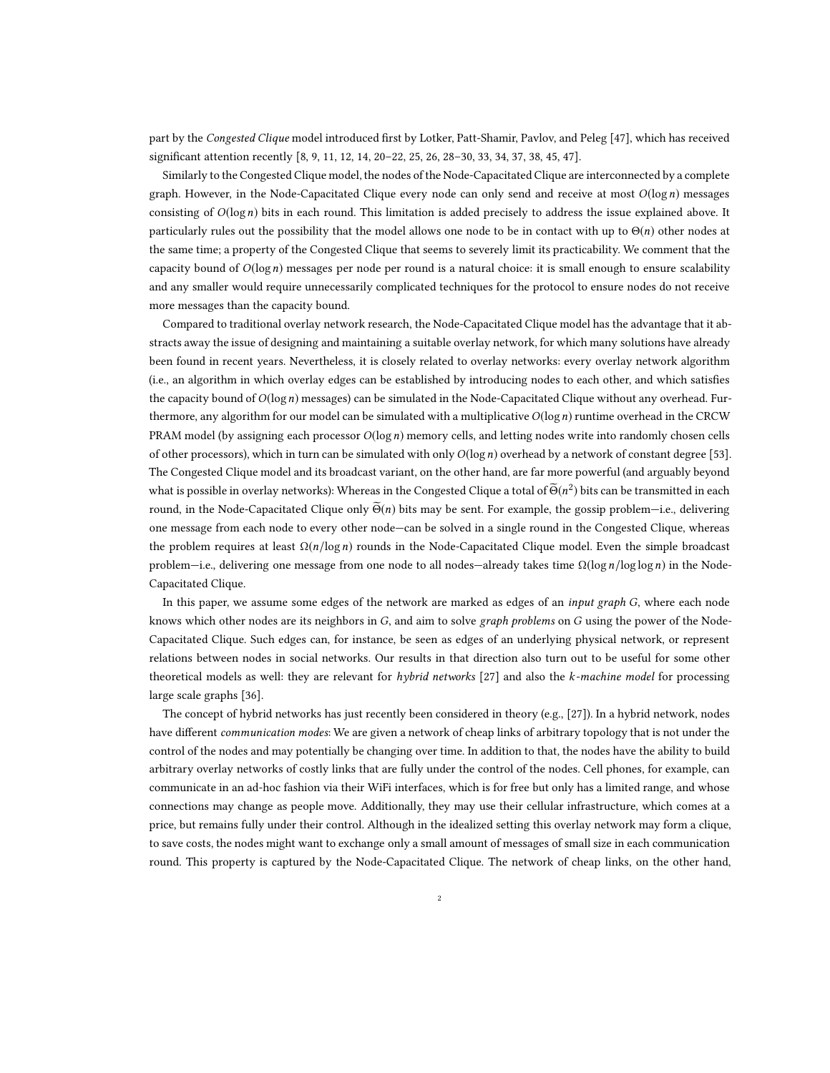part by the Congested Clique model introduced first by Lotker, Patt-Shamir, Pavlov, and Peleg [\[47\]](#page-21-0), which has received significant attention recently [\[8,](#page-20-0) [9](#page-20-1), [11,](#page-20-2) [12](#page-20-3), [14,](#page-20-4) [20](#page-20-5)[–22,](#page-20-6) [25](#page-20-7), [26,](#page-20-8) [28](#page-20-9)[–30,](#page-20-10) [33](#page-20-11), [34,](#page-20-12) [37](#page-20-13), [38,](#page-21-1) [45](#page-21-2), [47\]](#page-21-0).

Similarly to the Congested Clique model, the nodes of the Node-Capacitated Clique are interconnected by a complete graph. However, in the Node-Capacitated Clique every node can only send and receive at most  $O(\log n)$  messages consisting of  $O(log n)$  bits in each round. This limitation is added precisely to address the issue explained above. It particularly rules out the possibility that the model allows one node to be in contact with up to  $\Theta(n)$  other nodes at the same time; a property of the Congested Clique that seems to severely limit its practicability. We comment that the capacity bound of  $O(log n)$  messages per node per round is a natural choice: it is small enough to ensure scalability and any smaller would require unnecessarily complicated techniques for the protocol to ensure nodes do not receive more messages than the capacity bound.

Compared to traditional overlay network research, the Node-Capacitated Clique model has the advantage that it abstracts away the issue of designing and maintaining a suitable overlay network, for which many solutions have already been found in recent years. Nevertheless, it is closely related to overlay networks: every overlay network algorithm (i.e., an algorithm in which overlay edges can be established by introducing nodes to each other, and which satisfies the capacity bound of  $O(log n)$  messages) can be simulated in the Node-Capacitated Clique without any overhead. Furthermore, any algorithm for our model can be simulated with a multiplicative  $O(\log n)$  runtime overhead in the CRCW PRAM model (by assigning each processor  $O(\log n)$  memory cells, and letting nodes write into randomly chosen cells of other processors), which in turn can be simulated with only  $O(\log n)$  overhead by a network of constant degree [\[53\]](#page-21-3). The Congested Clique model and its broadcast variant, on the other hand, are far more powerful (and arguably beyond what is possible in overlay networks): Whereas in the Congested Clique a total of  $\widetilde{\Theta}(n^2)$  bits can be transmitted in each round, in the Node-Capacitated Clique only  $\Theta(n)$  bits may be sent. For example, the gossip problem—i.e., delivering one message from each node to every other node—can be solved in a single round in the Congested Clique, whereas the problem requires at least  $\Omega(n/\log n)$  rounds in the Node-Capacitated Clique model. Even the simple broadcast problem—i.e., delivering one message from one node to all nodes—already takes time  $\Omega(\log n / \log \log n)$  in the Node-Capacitated Clique.

In this paper, we assume some edges of the network are marked as edges of an *input graph G*, where each node knows which other nodes are its neighbors in  $G$ , and aim to solve graph problems on  $G$  using the power of the Node-Capacitated Clique. Such edges can, for instance, be seen as edges of an underlying physical network, or represent relations between nodes in social networks. Our results in that direction also turn out to be useful for some other theoretical models as well: they are relevant for hybrid networks [\[27](#page-20-14)] and also the k-machine model for processing large scale graphs [\[36](#page-20-15)].

The concept of hybrid networks has just recently been considered in theory (e.g., [\[27\]](#page-20-14)). In a hybrid network, nodes have different *communication modes*: We are given a network of cheap links of arbitrary topology that is not under the control of the nodes and may potentially be changing over time. In addition to that, the nodes have the ability to build arbitrary overlay networks of costly links that are fully under the control of the nodes. Cell phones, for example, can communicate in an ad-hoc fashion via their WiFi interfaces, which is for free but only has a limited range, and whose connections may change as people move. Additionally, they may use their cellular infrastructure, which comes at a price, but remains fully under their control. Although in the idealized setting this overlay network may form a clique, to save costs, the nodes might want to exchange only a small amount of messages of small size in each communication round. This property is captured by the Node-Capacitated Clique. The network of cheap links, on the other hand,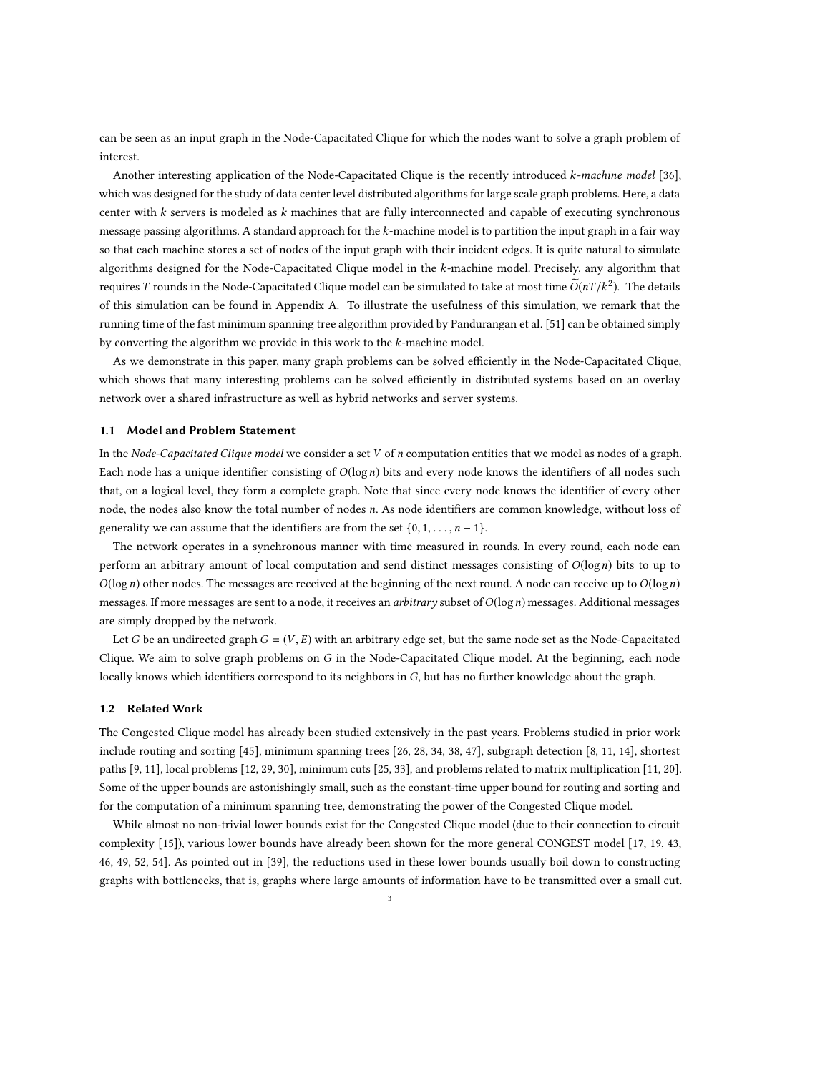can be seen as an input graph in the Node-Capacitated Clique for which the nodes want to solve a graph problem of interest.

Another interesting application of the Node-Capacitated Clique is the recently introduced k-machine model [\[36\]](#page-20-15), which was designed for the study of data center level distributed algorithms for large scale graph problems. Here, a data center with k servers is modeled as k machines that are fully interconnected and capable of executing synchronous message passing algorithms. A standard approach for the  $k$ -machine model is to partition the input graph in a fair way so that each machine stores a set of nodes of the input graph with their incident edges. It is quite natural to simulate algorithms designed for the Node-Capacitated Clique model in the k-machine model. Precisely, any algorithm that requires  $T$  rounds in the Node-Capacitated Clique model can be simulated to take at most time  $\widetilde{O}(nT/k^2)$ . The details of this simulation can be found in Appendix [A.](#page-22-0) To illustrate the usefulness of this simulation, we remark that the running time of the fast minimum spanning tree algorithm provided by Pandurangan et al. [\[51\]](#page-21-4) can be obtained simply by converting the algorithm we provide in this work to the  $k$ -machine model.

As we demonstrate in this paper, many graph problems can be solved efficiently in the Node-Capacitated Clique, which shows that many interesting problems can be solved efficiently in distributed systems based on an overlay network over a shared infrastructure as well as hybrid networks and server systems.

### 1.1 Model and Problem Statement

In the Node-Capacitated Clique model we consider a set  $V$  of  $n$  computation entities that we model as nodes of a graph. Each node has a unique identifier consisting of  $O(log n)$  bits and every node knows the identifiers of all nodes such that, on a logical level, they form a complete graph. Note that since every node knows the identifier of every other node, the nodes also know the total number of nodes n. As node identifiers are common knowledge, without loss of generality we can assume that the identifiers are from the set  $\{0, 1, \ldots, n-1\}$ .

The network operates in a synchronous manner with time measured in rounds. In every round, each node can perform an arbitrary amount of local computation and send distinct messages consisting of  $O(\log n)$  bits to up to  $O(\log n)$  other nodes. The messages are received at the beginning of the next round. A node can receive up to  $O(\log n)$ messages. If more messages are sent to a node, it receives an *arbitrary* subset of  $O(\log n)$  messages. Additional messages are simply dropped by the network.

Let G be an undirected graph  $G = (V, E)$  with an arbitrary edge set, but the same node set as the Node-Capacitated Clique. We aim to solve graph problems on  $G$  in the Node-Capacitated Clique model. At the beginning, each node locally knows which identifiers correspond to its neighbors in G, but has no further knowledge about the graph.

### 1.2 Related Work

The Congested Clique model has already been studied extensively in the past years. Problems studied in prior work include routing and sorting [\[45\]](#page-21-2), minimum spanning trees [\[26](#page-20-8), [28,](#page-20-9) [34,](#page-20-12) [38](#page-21-1), [47\]](#page-21-0), subgraph detection [\[8,](#page-20-0) [11](#page-20-2), [14\]](#page-20-4), shortest paths [\[9,](#page-20-1) [11](#page-20-2)], local problems [\[12,](#page-20-3) [29](#page-20-16), [30\]](#page-20-10), minimum cuts [\[25](#page-20-7), [33](#page-20-11)], and problems related to matrix multiplication [\[11,](#page-20-2) [20\]](#page-20-5). Some of the upper bounds are astonishingly small, such as the constant-time upper bound for routing and sorting and for the computation of a minimum spanning tree, demonstrating the power of the Congested Clique model.

While almost no non-trivial lower bounds exist for the Congested Clique model (due to their connection to circuit complexity [\[15](#page-20-17)]), various lower bounds have already been shown for the more general CONGEST model [\[17,](#page-20-18) [19,](#page-20-19) [43,](#page-21-5) [46,](#page-21-6) [49,](#page-21-7) [52,](#page-21-8) [54\]](#page-21-9). As pointed out in [\[39](#page-21-10)], the reductions used in these lower bounds usually boil down to constructing graphs with bottlenecks, that is, graphs where large amounts of information have to be transmitted over a small cut.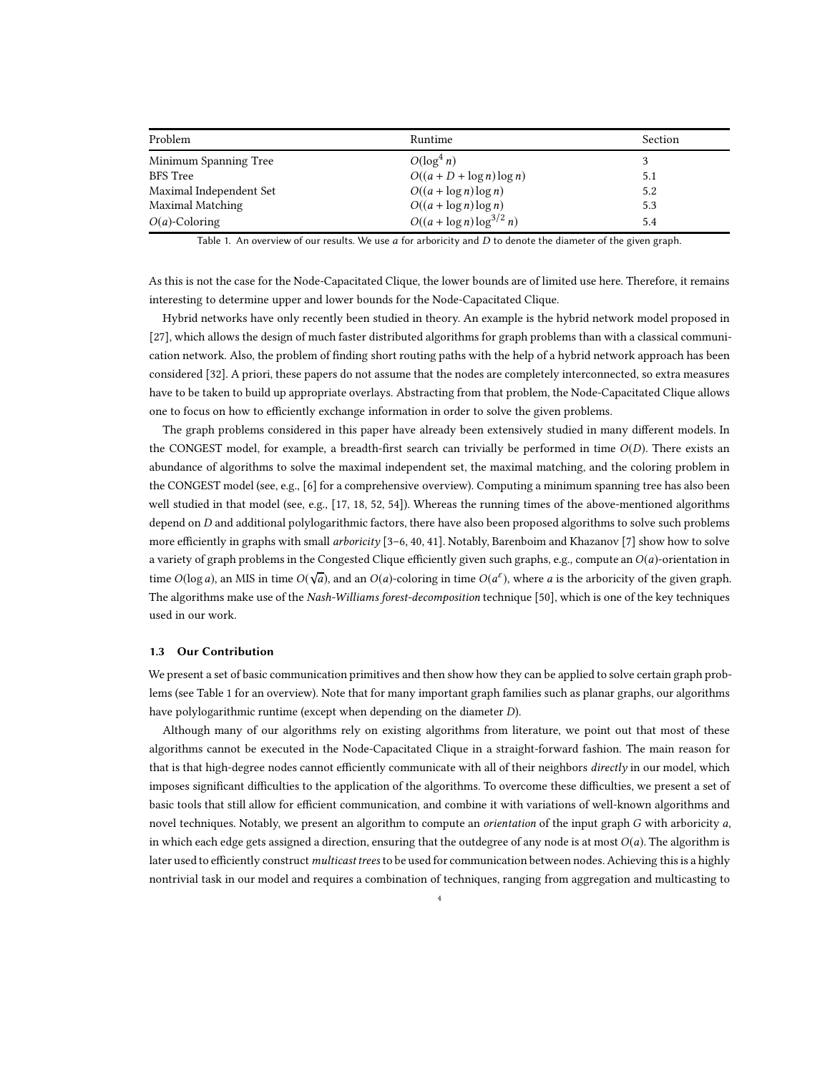<span id="page-3-0"></span>

| Problem                 | Runtime                        | Section |
|-------------------------|--------------------------------|---------|
| Minimum Spanning Tree   | $O(\log^4 n)$                  | 3       |
| <b>BFS</b> Tree         | $O((a+D+\log n)\log n)$        | 5.1     |
| Maximal Independent Set | $O((a + \log n) \log n)$       | 5.2     |
| Maximal Matching        | $O((a + \log n) \log n)$       | 5.3     |
| $O(a)$ -Coloring        | $O((a + \log n) \log^{3/2} n)$ | 5.4     |

Table 1. An overview of our results. We use  $a$  for arboricity and  $D$  to denote the diameter of the given graph.

As this is not the case for the Node-Capacitated Clique, the lower bounds are of limited use here. Therefore, it remains interesting to determine upper and lower bounds for the Node-Capacitated Clique.

Hybrid networks have only recently been studied in theory. An example is the hybrid network model proposed in [\[27\]](#page-20-14), which allows the design of much faster distributed algorithms for graph problems than with a classical communication network. Also, the problem of finding short routing paths with the help of a hybrid network approach has been considered [\[32](#page-20-20)]. A priori, these papers do not assume that the nodes are completely interconnected, so extra measures have to be taken to build up appropriate overlays. Abstracting from that problem, the Node-Capacitated Clique allows one to focus on how to efficiently exchange information in order to solve the given problems.

The graph problems considered in this paper have already been extensively studied in many different models. In the CONGEST model, for example, a breadth-first search can trivially be performed in time  $O(D)$ . There exists an abundance of algorithms to solve the maximal independent set, the maximal matching, and the coloring problem in the CONGEST model (see, e.g., [\[6\]](#page-19-0) for a comprehensive overview). Computing a minimum spanning tree has also been well studied in that model (see, e.g., [\[17](#page-20-18), [18](#page-20-21), [52,](#page-21-8) [54\]](#page-21-9)). Whereas the running times of the above-mentioned algorithms depend on  $D$  and additional polylogarithmic factors, there have also been proposed algorithms to solve such problems more efficiently in graphs with small *arboricity* [\[3](#page-19-1)[–6](#page-19-0), [40](#page-21-11), [41\]](#page-21-12). Notably, Barenboim and Khazanov [\[7](#page-19-2)] show how to solve a variety of graph problems in the Congested Clique efficiently given such graphs, e.g., compute an  $O(a)$ -orientation in time  $O(\log a)$ , an MIS in time  $O(\sqrt{a})$ , and an  $O(a)$ -coloring in time  $O(a^{\varepsilon})$ , where a is the arboricity of the given graph. The algorithms make use of the Nash-Williams forest-decomposition technique [\[50\]](#page-21-13), which is one of the key techniques used in our work.

#### 1.3 Our Contribution

We present a set of basic communication primitives and then show how they can be applied to solve certain graph problems (see Table [1](#page-3-0) for an overview). Note that for many important graph families such as planar graphs, our algorithms have polylogarithmic runtime (except when depending on the diameter D).

Although many of our algorithms rely on existing algorithms from literature, we point out that most of these algorithms cannot be executed in the Node-Capacitated Clique in a straight-forward fashion. The main reason for that is that high-degree nodes cannot efficiently communicate with all of their neighbors directly in our model, which imposes significant difficulties to the application of the algorithms. To overcome these difficulties, we present a set of basic tools that still allow for efficient communication, and combine it with variations of well-known algorithms and novel techniques. Notably, we present an algorithm to compute an *orientation* of the input graph G with arboricity a, in which each edge gets assigned a direction, ensuring that the outdegree of any node is at most  $O(a)$ . The algorithm is later used to efficiently construct multicast trees to be used for communication between nodes. Achieving this is a highly nontrivial task in our model and requires a combination of techniques, ranging from aggregation and multicasting to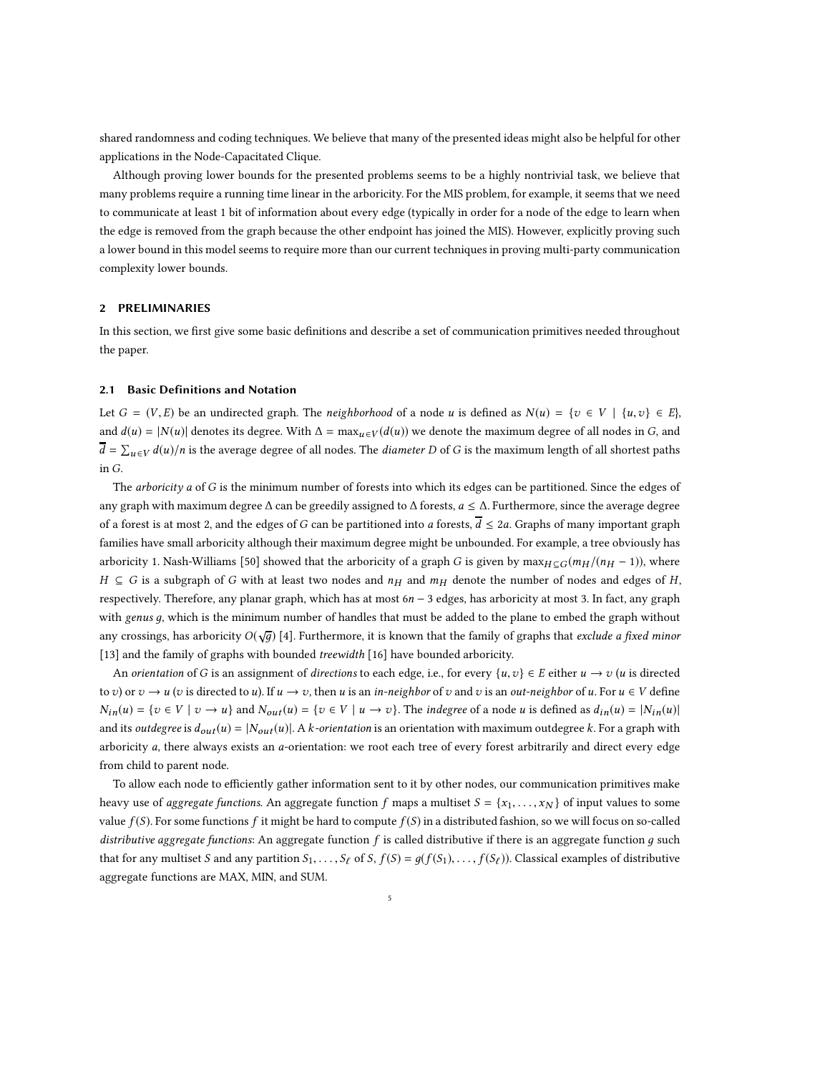shared randomness and coding techniques. We believe that many of the presented ideas might also be helpful for other applications in the Node-Capacitated Clique.

Although proving lower bounds for the presented problems seems to be a highly nontrivial task, we believe that many problems require a running time linear in the arboricity. For the MIS problem, for example, it seems that we need to communicate at least 1 bit of information about every edge (typically in order for a node of the edge to learn when the edge is removed from the graph because the other endpoint has joined the MIS). However, explicitly proving such a lower bound in this model seems to require more than our current techniques in proving multi-party communication complexity lower bounds.

# 2 PRELIMINARIES

In this section, we first give some basic definitions and describe a set of communication primitives needed throughout the paper.

### 2.1 Basic Definitions and Notation

Let  $G = (V, E)$  be an undirected graph. The neighborhood of a node u is defined as  $N(u) = \{v \in V \mid \{u, v\} \in E\}$ , and  $d(u) = |N(u)|$  denotes its degree. With  $\Delta = \max_{u \in V} (d(u))$  we denote the maximum degree of all nodes in G, and  $\overline{d} = \sum_{u \in V} d(u)/n$  is the average degree of all nodes. The *diameter D* of G is the maximum length of all shortest paths in G.

The *arboricity a* of G is the minimum number of forests into which its edges can be partitioned. Since the edges of any graph with maximum degree <sup>∆</sup> can be greedily assigned to <sup>∆</sup> forests, <sup>a</sup> <sup>≤</sup> <sup>∆</sup>. Furthermore, since the average degree of a forest is at most 2, and the edges of G can be partitioned into a forests,  $\overline{d} \leq 2a$ . Graphs of many important graph families have small arboricity although their maximum degree might be unbounded. For example, a tree obviously has arboricity 1. Nash-Williams [\[50\]](#page-21-13) showed that the arboricity of a graph G is given by max $H \subset G$  (m $H/(n_H - 1)$ ), where  $H \subseteq G$  is a subgraph of G with at least two nodes and  $n_H$  and  $m_H$  denote the number of nodes and edges of H, respectively. Therefore, any planar graph, which has at most 6n − 3 edges, has arboricity at most 3. In fact, any graph with genus  $g$ , which is the minimum number of handles that must be added to the plane to embed the graph without any crossings, has arboricity  $O(\sqrt{g})$  [\[4](#page-19-3)]. Furthermore, it is known that the family of graphs that *exclude a fixed minor* [\[13\]](#page-20-22) and the family of graphs with bounded treewidth [\[16\]](#page-20-23) have bounded arboricity.

An orientation of G is an assignment of directions to each edge, i.e., for every  $\{u, v\} \in E$  either  $u \to v$  (u is directed to v) or  $v \to u$  (v is directed to u). If  $u \to v$ , then u is an in-neighbor of v and v is an out-neighbor of u. For  $u \in V$  define  $N_{in}(u) = \{v \in V \mid v \to u\}$  and  $N_{out}(u) = \{v \in V \mid u \to v\}$ . The *indegree* of a node u is defined as  $d_{in}(u) = |N_{in}(u)|$ and its *outdegree* is  $d_{out}(u) = |N_{out}(u)|$ . A k-orientation is an orientation with maximum outdegree k. For a graph with arboricity  $a$ , there always exists an  $a$ -orientation: we root each tree of every forest arbitrarily and direct every edge from child to parent node.

To allow each node to efficiently gather information sent to it by other nodes, our communication primitives make heavy use of aggregate functions. An aggregate function f maps a multiset  $S = \{x_1, \ldots, x_N\}$  of input values to some value  $f(S)$ . For some functions f it might be hard to compute  $f(S)$  in a distributed fashion, so we will focus on so-called distributive aggregate functions: An aggregate function  $f$  is called distributive if there is an aggregate function  $q$  such that for any multiset S and any partition  $S_1, \ldots, S_\ell$  of S,  $f(S) = g(f(S_1), \ldots, f(S_\ell))$ . Classical examples of distributive aggregate functions are MAX, MIN, and SUM.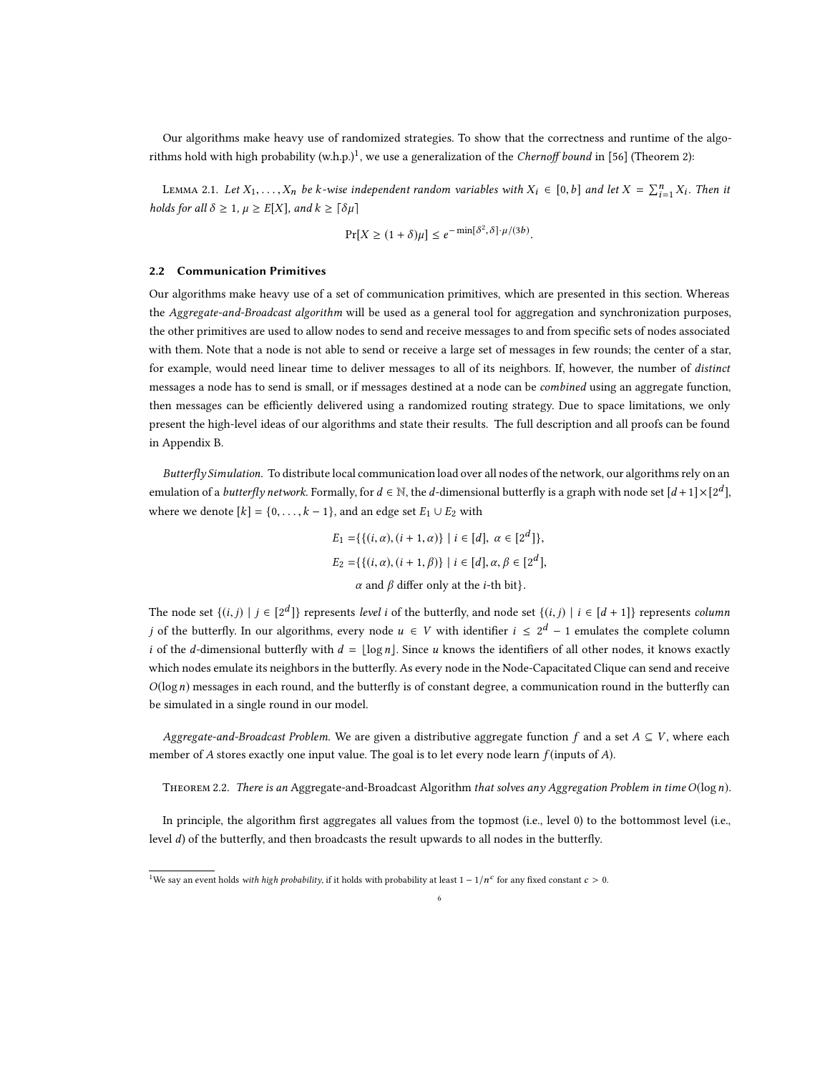Our algorithms make heavy use of randomized strategies. To show that the correctness and runtime of the algo-rithms hold with high probability (w.h.p.)<sup>[1](#page-5-0)</sup>, we use a generalization of the *Chernoff bound* in [\[56](#page-21-14)] (Theorem 2):

<span id="page-5-1"></span>LEMMA 2.1. Let  $X_1, \ldots, X_n$  be k-wise independent random variables with  $X_i \in [0, b]$  and let  $X = \sum_{i=1}^n X_i$ . Then it holds for all  $\delta \geq 1$ ,  $\mu \geq E[X]$ , and  $k \geq \lceil \delta \mu \rceil$ 

$$
\Pr[X \ge (1+\delta)\mu] \le e^{-\min[\delta^2, \delta] \cdot \mu/(3b)}.
$$

#### <span id="page-5-2"></span>2.2 Communication Primitives

Our algorithms make heavy use of a set of communication primitives, which are presented in this section. Whereas the Aggregate-and-Broadcast algorithm will be used as a general tool for aggregation and synchronization purposes, the other primitives are used to allow nodes to send and receive messages to and from specific sets of nodes associated with them. Note that a node is not able to send or receive a large set of messages in few rounds; the center of a star, for example, would need linear time to deliver messages to all of its neighbors. If, however, the number of *distinct* messages a node has to send is small, or if messages destined at a node can be combined using an aggregate function, then messages can be efficiently delivered using a randomized routing strategy. Due to space limitations, we only present the high-level ideas of our algorithms and state their results. The full description and all proofs can be found in Appendix [B.](#page-22-1)

Butterfly Simulation. To distribute local communication load over all nodes of the network, our algorithms rely on an emulation of a *butterfly network*. Formally, for  $d \in \mathbb{N}$ , the *d*-dimensional butterfly is a graph with node set  $[d+1] \times [2^d]$ , where we denote  $[k] = \{0, \ldots, k-1\}$ , and an edge set  $E_1 \cup E_2$  with

$$
E_1 = \{ \{ (i, \alpha), (i + 1, \alpha) \} \mid i \in [d], \alpha \in [2^d] \},
$$
  
\n
$$
E_2 = \{ \{ (i, \alpha), (i + 1, \beta) \} \mid i \in [d], \alpha, \beta \in [2^d],
$$
  
\n
$$
\alpha \text{ and } \beta \text{ differ only at the } i\text{-th bit} \}.
$$

The node set  $\{(i,j) | j \in [2^d]\}$  represents level i of the butterfly, and node set  $\{(i,j) | i \in [d+1]\}$  represents column j of the butterfly. In our algorithms, every node  $u \in V$  with identifier  $i \leq 2^d - 1$  emulates the complete column i of the d-dimensional butterfly with  $d = \lfloor \log n \rfloor$ . Since u knows the identifiers of all other nodes, it knows exactly which nodes emulate its neighbors in the butterfly. As every node in the Node-Capacitated Clique can send and receive  $O(\log n)$  messages in each round, and the butterfly is of constant degree, a communication round in the butterfly can be simulated in a single round in our model.

Aggregate-and-Broadcast Problem. We are given a distributive aggregate function f and a set  $A \subseteq V$ , where each member of A stores exactly one input value. The goal is to let every node learn  $f$  (inputs of A).

<span id="page-5-3"></span>THEOREM 2.2. There is an Aggregate-and-Broadcast Algorithm that solves any Aggregation Problem in time O(logn).

In principle, the algorithm first aggregates all values from the topmost (i.e., level 0) to the bottommost level (i.e., level d) of the butterfly, and then broadcasts the result upwards to all nodes in the butterfly.

6

<span id="page-5-0"></span><sup>&</sup>lt;sup>1</sup>We say an event holds *with high probability*, if it holds with probability at least  $1 - 1/n^c$  for any fixed constant  $c > 0$ .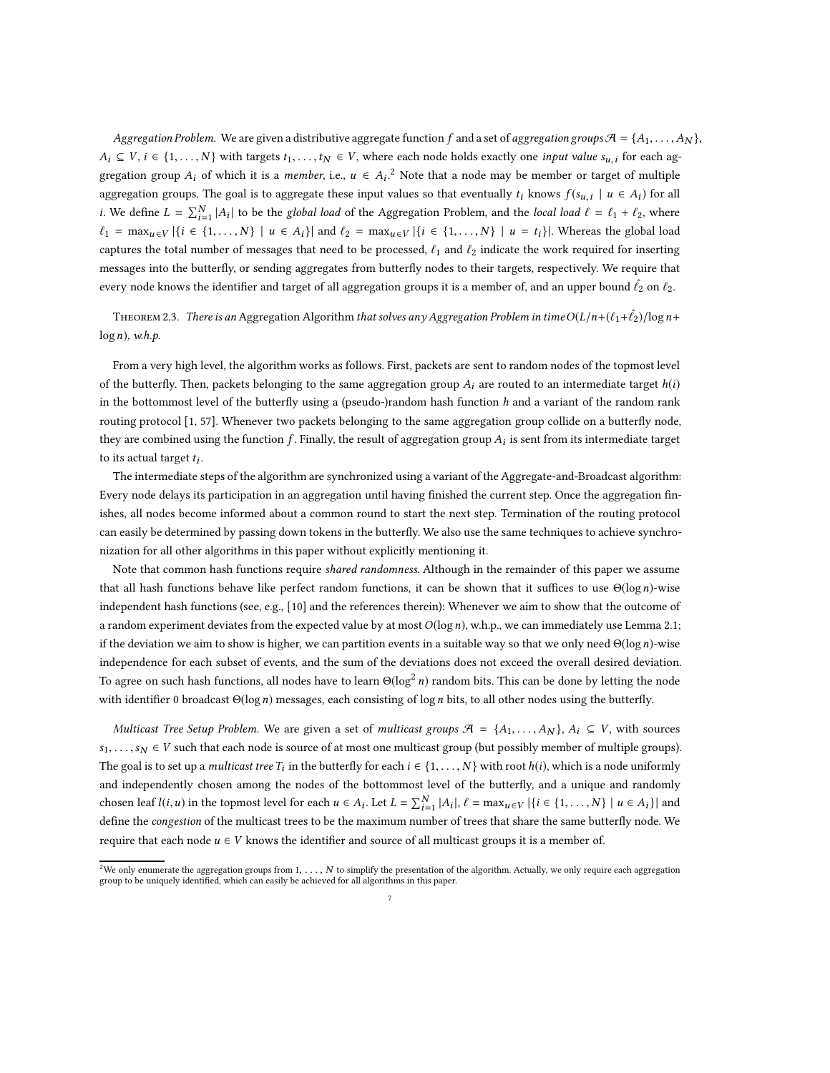Aggregation Problem. We are given a distributive aggregate function f and a set of aggregation groups  $\mathcal{A} = \{A_1, \ldots, A_N\}$ ,  $A_i \subseteq V$ ,  $i \in \{1, ..., N\}$  with targets  $t_1, ..., t_N \in V$ , where each node holds exactly one *input value*  $s_{u,i}$  for each aggregation group  $A_i$  of which it is a *member*, i.e.,  $u \in A_i$ .<sup>[2](#page-6-0)</sup> Note that a node may be member or target of multiple aggregation groups. The goal is to aggregate these input values so that eventually  $t_i$  knows  $f(s_{u,i} \mid u \in A_i)$  for all *i*. We define  $L = \sum_{i=1}^{N} |A_i|$  to be the *global load* of the Aggregation Problem, and the *local load*  $\ell = \ell_1 + \ell_2$ , where  $\ell_1 = \max_{u \in V} |\{i \in \{1, ..., N\} \mid u \in A_i\}|$  and  $\ell_2 = \max_{u \in V} |\{i \in \{1, ..., N\} \mid u = t_i\}|$ . Whereas the global load captures the total number of messages that need to be processed,  $\ell_1$  and  $\ell_2$  indicate the work required for inserting messages into the butterfly, or sending aggregates from butterfly nodes to their targets, respectively. We require that every node knows the identifier and target of all aggregation groups it is a member of, and an upper bound  $\ell_2$  on  $\ell_2$ .

<span id="page-6-1"></span>THEOREM 2.3. There is an Aggregation Algorithm that solves any Aggregation Problem in time  $O(L/n+(\ell_1+\ell_2)/\log n+1)$  $log n$ , w.h.p.

From a very high level, the algorithm works as follows. First, packets are sent to random nodes of the topmost level of the butterfly. Then, packets belonging to the same aggregation group  $A_i$  are routed to an intermediate target  $h(i)$ in the bottommost level of the butterfly using a (pseudo-)random hash function  $h$  and a variant of the random rank routing protocol [\[1](#page-19-4), [57\]](#page-21-15). Whenever two packets belonging to the same aggregation group collide on a butterfly node, they are combined using the function  $f$ . Finally, the result of aggregation group  $A_i$  is sent from its intermediate target to its actual target  $t_i$ .

The intermediate steps of the algorithm are synchronized using a variant of the Aggregate-and-Broadcast algorithm: Every node delays its participation in an aggregation until having finished the current step. Once the aggregation finishes, all nodes become informed about a common round to start the next step. Termination of the routing protocol can easily be determined by passing down tokens in the butterfly. We also use the same techniques to achieve synchronization for all other algorithms in this paper without explicitly mentioning it.

Note that common hash functions require shared randomness. Although in the remainder of this paper we assume that all hash functions behave like perfect random functions, it can be shown that it suffices to use  $\Theta(\log n)$ -wise independent hash functions (see, e.g., [\[10](#page-20-24)] and the references therein): Whenever we aim to show that the outcome of a random experiment deviates from the expected value by at most  $O(log n)$ , w.h.p., we can immediately use Lemma [2.1;](#page-5-1) if the deviation we aim to show is higher, we can partition events in a suitable way so that we only need  $\Theta(\log n)$ -wise independence for each subset of events, and the sum of the deviations does not exceed the overall desired deviation. To agree on such hash functions, all nodes have to learn  $\Theta(\log^2 n)$  random bits. This can be done by letting the node with identifier 0 broadcast  $\Theta(\log n)$  messages, each consisting of  $\log n$  bits, to all other nodes using the butterfly.

Multicast Tree Setup Problem. We are given a set of multicast groups  $\mathcal{A} = \{A_1, \ldots, A_N\}$ ,  $A_i \subseteq V$ , with sources  $s_1, \ldots, s_N \in V$  such that each node is source of at most one multicast group (but possibly member of multiple groups). The goal is to set up a *multicast tree*  $T_i$  in the butterfly for each  $i \in \{1, ..., N\}$  with root  $h(i)$ , which is a node uniformly and independently chosen among the nodes of the bottommost level of the butterfly, and a unique and randomly chosen leaf  $l(i, u)$  in the topmost level for each  $u \in A_i$ . Let  $L = \sum_{i=1}^N |A_i|$ ,  $\ell = \max_{u \in V} |\{i \in \{1, ..., N\} \mid u \in A_i\}|$  and define the congestion of the multicast trees to be the maximum number of trees that share the same butterfly node. We require that each node  $u \in V$  knows the identifier and source of all multicast groups it is a member of.

<span id="page-6-0"></span><sup>&</sup>lt;sup>2</sup>We only enumerate the aggregation groups from 1, ..., N to simplify the presentation of the algorithm. Actually, we only require each aggregation group to be uniquely identified, which can easily be achieved for all algorithms in this paper.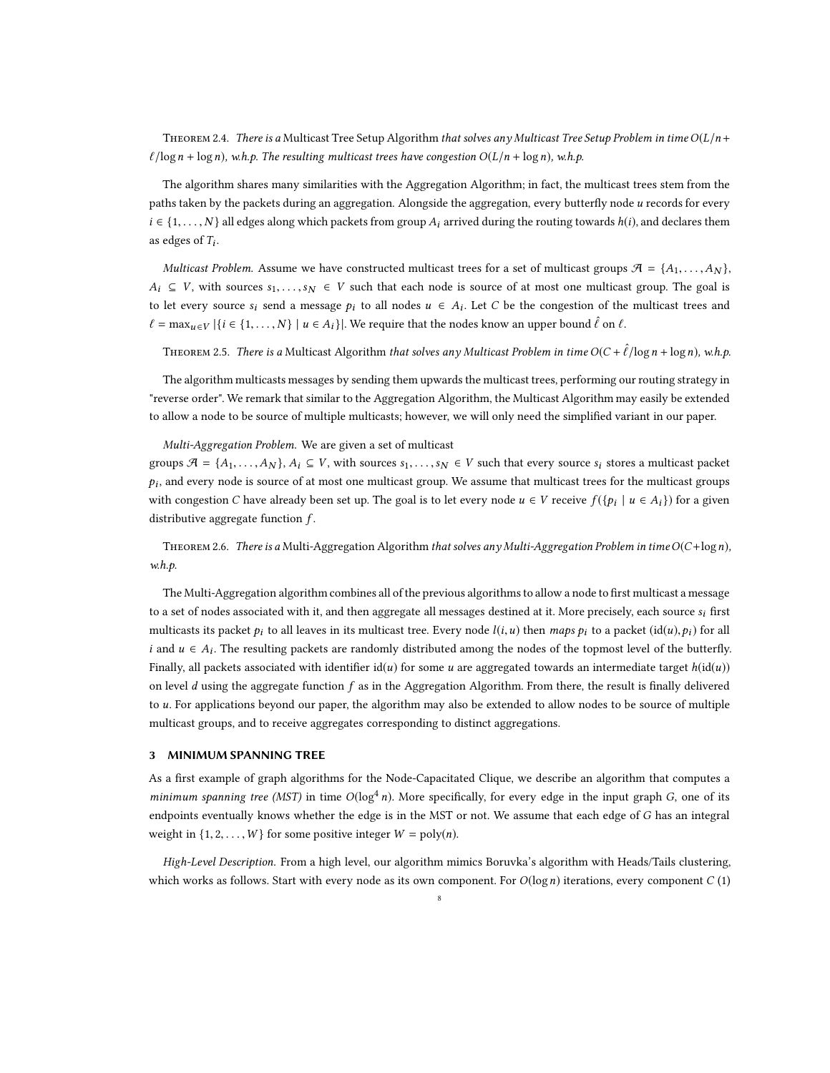<span id="page-7-2"></span>THEOREM 2.4. There is a Multicast Tree Setup Algorithm that solves any Multicast Tree Setup Problem in time  $O(L/n+$  $\ell/\log n + \log n$ ), w.h.p. The resulting multicast trees have congestion  $O(L/n + \log n)$ , w.h.p.

The algorithm shares many similarities with the Aggregation Algorithm; in fact, the multicast trees stem from the paths taken by the packets during an aggregation. Alongside the aggregation, every butterfly node u records for every  $i \in \{1, \ldots, N\}$  all edges along which packets from group  $A_i$  arrived during the routing towards  $h(i)$ , and declares them as edges of  $T_i$ .

Multicast Problem. Assume we have constructed multicast trees for a set of multicast groups  $\mathcal{A} = \{A_1, \ldots, A_N\}$ ,  $A_i \subseteq V$ , with sources  $s_1, \ldots, s_N \in V$  such that each node is source of at most one multicast group. The goal is to let every source  $s_i$  send a message  $p_i$  to all nodes  $u \in A_i$ . Let C be the congestion of the multicast trees and  $\ell = \max_{u \in V} |\{i \in \{1, \ldots, N\} \mid u \in A_i\}|$ . We require that the nodes know an upper bound  $\ell$  on  $\ell$ .

<span id="page-7-1"></span>THEOREM 2.5. There is a Multicast Algorithm that solves any Multicast Problem in time  $O(C + \hat{\ell}/\log n + \log n)$ , w.h.p.

The algorithm multicasts messages by sending them upwards the multicast trees, performing our routing strategy in "reverse order". We remark that similar to the Aggregation Algorithm, the Multicast Algorithm may easily be extended to allow a node to be source of multiple multicasts; however, we will only need the simplified variant in our paper.

Multi-Aggregation Problem. We are given a set of multicast

groups  $\mathcal{A} = \{A_1, \ldots, A_N\}, A_i \subseteq V$ , with sources  $s_1, \ldots, s_N \in V$  such that every source  $s_i$  stores a multicast packet  $p_i$ , and every node is source of at most one multicast group. We assume that multicast trees for the multicast groups with congestion C have already been set up. The goal is to let every node  $u \in V$  receive  $f(\{p_i \mid u \in A_i\})$  for a given distributive aggregate function  $f$ .

<span id="page-7-3"></span>THEOREM 2.6. There is a Multi-Aggregation Algorithm that solves any Multi-Aggregation Problem in time  $O(C + \log n)$ , w.h.p.

The Multi-Aggregation algorithm combines all of the previous algorithms to allow a node to first multicast a message to a set of nodes associated with it, and then aggregate all messages destined at it. More precisely, each source  $s_i$  first multicasts its packet  $p_i$  to all leaves in its multicast tree. Every node  $l(i, u)$  then maps  $p_i$  to a packet  $(id(u), p_i)$  for all *i* and *u* ∈  $A_i$ . The resulting packets are randomly distributed among the nodes of the topmost level of the butterfly. Finally, all packets associated with identifier  $id(u)$  for some u are aggregated towards an intermediate target  $h(id(u))$ on level  $d$  using the aggregate function  $f$  as in the Aggregation Algorithm. From there, the result is finally delivered to u. For applications beyond our paper, the algorithm may also be extended to allow nodes to be source of multiple multicast groups, and to receive aggregates corresponding to distinct aggregations.

### <span id="page-7-0"></span>3 MINIMUM SPANNING TREE

As a first example of graph algorithms for the Node-Capacitated Clique, we describe an algorithm that computes a minimum spanning tree (MST) in time  $O(\log^4 n)$ . More specifically, for every edge in the input graph G, one of its endpoints eventually knows whether the edge is in the MST or not. We assume that each edge of G has an integral weight in  $\{1, 2, ..., W\}$  for some positive integer  $W = \text{poly}(n)$ .

High-Level Description. From a high level, our algorithm mimics Boruvka's algorithm with Heads/Tails clustering, which works as follows. Start with every node as its own component. For  $O(\log n)$  iterations, every component  $C(1)$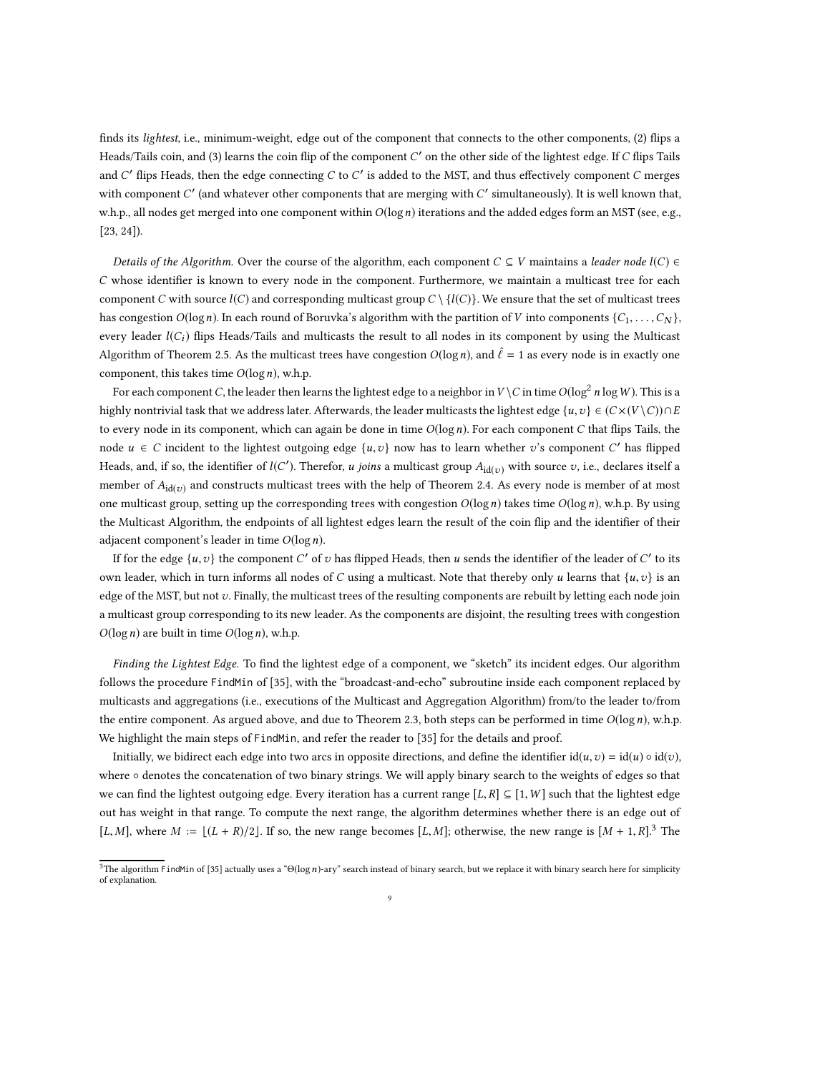finds its *lightest*, i.e., minimum-weight, edge out of the component that connects to the other components, (2) flips a Heads/Tails coin, and (3) learns the coin flip of the component  $C'$  on the other side of the lightest edge. If  $C$  flips Tails and  $C'$  flips Heads, then the edge connecting  $C$  to  $C'$  is added to the MST, and thus effectively component  $C$  merges with component  $C'$  (and whatever other components that are merging with  $C'$  simultaneously). It is well known that, w.h.p., all nodes get merged into one component within  $O(\log n)$  iterations and the added edges form an MST (see, e.g., [\[23,](#page-20-25) [24\]](#page-20-26)).

Details of the Algorithm. Over the course of the algorithm, each component  $C \subseteq V$  maintains a leader node  $l(C) \in$ C whose identifier is known to every node in the component. Furthermore, we maintain a multicast tree for each component C with source  $l(C)$  and corresponding multicast group  $C \setminus \{l(C)\}\$ . We ensure that the set of multicast trees has congestion  $O(\log n)$ . In each round of Boruvka's algorithm with the partition of V into components  $\{C_1, \ldots, C_N\}$ , every leader  $l(C_i)$  flips Heads/Tails and multicasts the result to all nodes in its component by using the Multicast Algorithm of Theorem [2.5.](#page-7-1) As the multicast trees have congestion  $O(\log n)$ , and  $\hat{\ell} = 1$  as every node is in exactly one component, this takes time  $O(\log n)$ , w.h.p.

For each component C, the leader then learns the lightest edge to a neighbor in  $V \setminus C$  in time  $O(\log^2 n \log W)$ . This is a highly nontrivial task that we address later. Afterwards, the leader multicasts the lightest edge {u,v} ∈  $(C \times (V \setminus C)) \cap E$ to every node in its component, which can again be done in time  $O(\log n)$ . For each component C that flips Tails, the node  $u \in C$  incident to the lightest outgoing edge  $\{u, v\}$  now has to learn whether  $v$ 's component  $C'$  has flipped Heads, and, if so, the identifier of  $l(C')$ . Therefor, *u joins* a multicast group  $A_{\mathrm{id}(v)}$  with source  $v$ , i.e., declares itself a member of  $A_{id(v)}$  and constructs multicast trees with the help of Theorem [2.4.](#page-7-2) As every node is member of at most one multicast group, setting up the corresponding trees with congestion  $O(\log n)$  takes time  $O(\log n)$ , w.h.p. By using the Multicast Algorithm, the endpoints of all lightest edges learn the result of the coin flip and the identifier of their adjacent component's leader in time  $O(\log n)$ .

If for the edge  $\{u, v\}$  the component  $C'$  of  $v$  has flipped Heads, then  $u$  sends the identifier of the leader of  $C'$  to its own leader, which in turn informs all nodes of C using a multicast. Note that thereby only u learns that  $\{u,v\}$  is an edge of the MST, but not v. Finally, the multicast trees of the resulting components are rebuilt by letting each node join a multicast group corresponding to its new leader. As the components are disjoint, the resulting trees with congestion  $O(\log n)$  are built in time  $O(\log n)$ , w.h.p.

Finding the Lightest Edge. To find the lightest edge of a component, we "sketch" its incident edges. Our algorithm follows the procedure FindMin of [\[35\]](#page-20-27), with the "broadcast-and-echo" subroutine inside each component replaced by multicasts and aggregations (i.e., executions of the Multicast and Aggregation Algorithm) from/to the leader to/from the entire component. As argued above, and due to Theorem [2.3,](#page-6-1) both steps can be performed in time  $O(\log n)$ , w.h.p. We highlight the main steps of FindMin, and refer the reader to [\[35](#page-20-27)] for the details and proof.

Initially, we bidirect each edge into two arcs in opposite directions, and define the identifier  $id(u, v) = id(u) \circ id(v)$ , where ∘ denotes the concatenation of two binary strings. We will apply binary search to the weights of edges so that we can find the lightest outgoing edge. Every iteration has a current range [L, R]  $\subseteq$  [1, W] such that the lightest edge out has weight in that range. To compute the next range, the algorithm determines whether there is an edge out of [L, M], where  $M := \lfloor (L + R)/2 \rfloor$ . If so, the new range becomes [L, M]; otherwise, the new range is  $\lfloor M + 1, R \rfloor$ .<sup>[3](#page-8-0)</sup> The

<span id="page-8-0"></span><sup>&</sup>lt;sup>3</sup>The algorithm FindMin of [\[35\]](#page-20-27) actually uses a " $\Theta(\log n)$ -ary" search instead of binary search, but we replace it with binary search here for simplicity of explanation.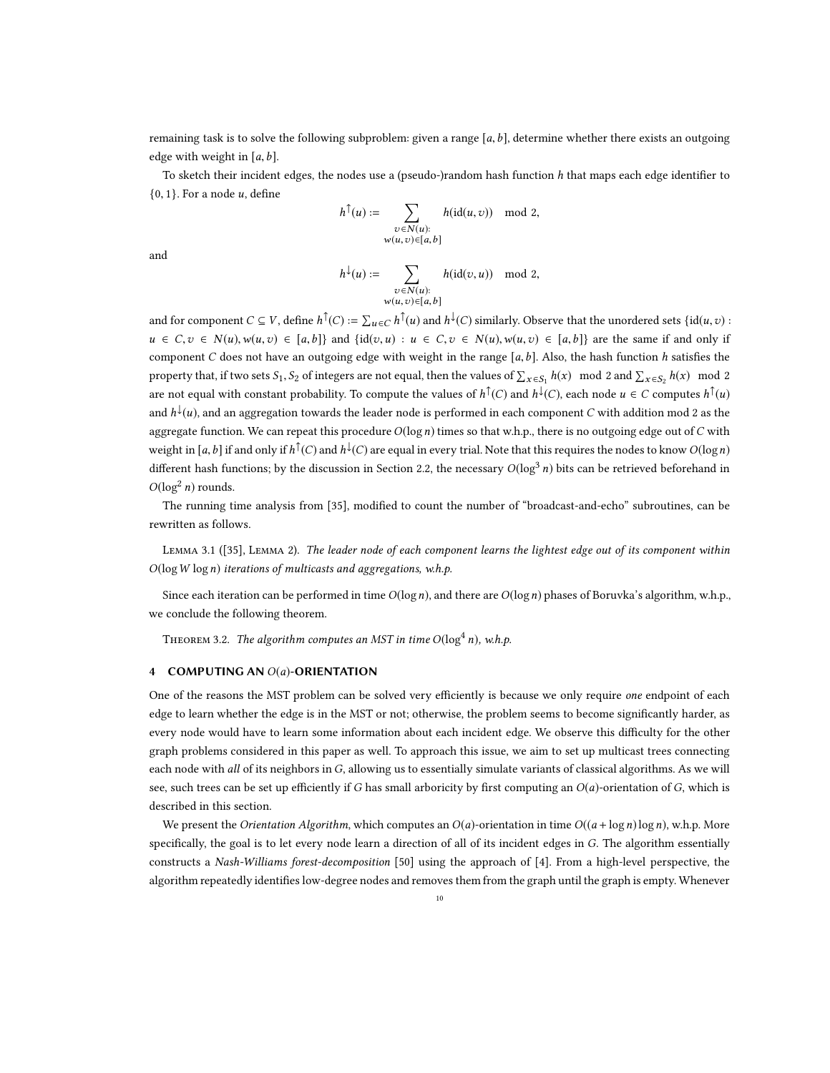remaining task is to solve the following subproblem: given a range [a, b], determine whether there exists an outgoing edge with weight in  $[a, b]$ .

To sketch their incident edges, the nodes use a (pseudo-)random hash function  $h$  that maps each edge identifier to  $\{0, 1\}$ . For a node *u*, define

$$
h^{\uparrow}(u) := \sum_{\substack{v \in N(u): \\ w(u,v) \in [a,b]}} h(\text{id}(u,v)) \mod 2,
$$

and

$$
h^{\downarrow}(u):=\sum_{\substack{v\in N(u):\\ w(u,v)\in [a,b]}} h(\mathrm{id}(v,u)) \mod 2,
$$

and for component  $C \subseteq V$ , define  $h^{\uparrow}(C) := \sum_{u \in C} h^{\uparrow}(u)$  and  $h^{\downarrow}(C)$  similarly. Observe that the unordered sets  $\{id(u, v) :$  $u \in C, v \in N(u), w(u, v) \in [a, b]$  and  $\{id(v, u) : u \in C, v \in N(u), w(u, v) \in [a, b]\}$  are the same if and only if component C does not have an outgoing edge with weight in the range  $[a, b]$ . Also, the hash function h satisfies the property that, if two sets  $S_1$ ,  $S_2$  of integers are not equal, then the values of  $\sum_{x \in S_1} h(x) \mod 2$  and  $\sum_{x \in S_2} h(x) \mod 2$ are not equal with constant probability. To compute the values of  $h^{\top}(C)$  and  $h^{\downarrow}(C)$ , each node  $u \in C$  computes  $h^{\top}(u)$ and  $h^{\downarrow}(u)$ , and an aggregation towards the leader node is performed in each component C with addition mod 2 as the aggregate function. We can repeat this procedure  $O(log n)$  times so that w.h.p., there is no outgoing edge out of C with weight in [a, b] if and only if  $h^{\uparrow}(C)$  and  $h^{\downarrow}(C)$  are equal in every trial. Note that this requires the nodes to know  $O(\log n)$ different hash functions; by the discussion in Section [2.2,](#page-5-2) the necessary  $O(log^3 n)$  bits can be retrieved beforehand in  $O(\log^2 n)$  rounds.

The running time analysis from [\[35\]](#page-20-27), modified to count the number of "broadcast-and-echo" subroutines, can be rewritten as follows.

Lemma 3.1 ([\[35\]](#page-20-27), Lemma 2). The leader node of each component learns the lightest edge out of its component within  $O(\log W \log n)$  iterations of multicasts and aggregations, w.h.p.

Since each iteration can be performed in time  $O(\log n)$ , and there are  $O(\log n)$  phases of Boruvka's algorithm, w.h.p., we conclude the following theorem.

THEOREM 3.2. The algorithm computes an MST in time  $O(\log^4 n)$ , w.h.p.

### 4 COMPUTING AN  $O(a)$ -ORIENTATION

One of the reasons the MST problem can be solved very efficiently is because we only require one endpoint of each edge to learn whether the edge is in the MST or not; otherwise, the problem seems to become significantly harder, as every node would have to learn some information about each incident edge. We observe this difficulty for the other graph problems considered in this paper as well. To approach this issue, we aim to set up multicast trees connecting each node with all of its neighbors in G, allowing us to essentially simulate variants of classical algorithms. As we will see, such trees can be set up efficiently if G has small arboricity by first computing an  $O(a)$ -orientation of G, which is described in this section.

We present the *Orientation Algorithm*, which computes an  $O(a)$ -orientation in time  $O((a + \log n) \log n)$ , w.h.p. More specifically, the goal is to let every node learn a direction of all of its incident edges in G. The algorithm essentially constructs a Nash-Williams forest-decomposition [\[50\]](#page-21-13) using the approach of [\[4\]](#page-19-3). From a high-level perspective, the algorithm repeatedly identifies low-degree nodes and removes them from the graph until the graph is empty. Whenever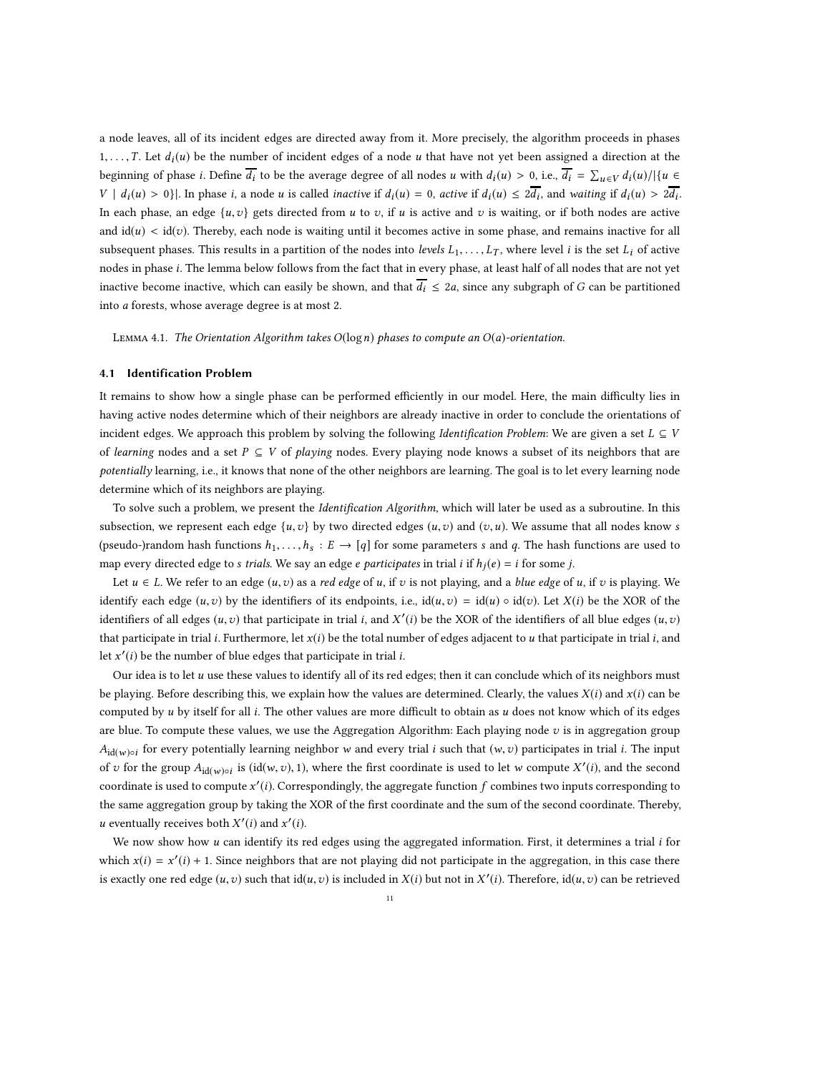a node leaves, all of its incident edges are directed away from it. More precisely, the algorithm proceeds in phases 1, ..., T. Let  $d_i(u)$  be the number of incident edges of a node u that have not yet been assigned a direction at the beginning of phase *i*. Define  $\overline{d_i}$  to be the average degree of all nodes *u* with  $d_i(u) > 0$ , i.e.,  $\overline{d_i} = \sum_{u \in V} d_i(u) / |\{u \in V\}|$  $V | d_i(u) > 0$ }. In phase *i*, a node *u* is called *inactive* if  $d_i(u) = 0$ , *active* if  $d_i(u) \leq 2\overline{d_i}$ , and *waiting* if  $d_i(u) > 2\overline{d_i}$ . In each phase, an edge  $\{u, v\}$  gets directed from u to v, if u is active and v is waiting, or if both nodes are active and  $id(u) < id(v)$ . Thereby, each node is waiting until it becomes active in some phase, and remains inactive for all subsequent phases. This results in a partition of the nodes into levels  $L_1, \ldots, L_T$ , where level i is the set  $L_i$  of active nodes in phase i. The lemma below follows from the fact that in every phase, at least half of all nodes that are not yet inactive become inactive, which can easily be shown, and that  $\overline{d_i} \leq 2a$ , since any subgraph of G can be partitioned into a forests, whose average degree is at most 2.

<span id="page-10-0"></span>LEMMA 4.1. The Orientation Algorithm takes  $O(log n)$  phases to compute an  $O(a)$ -orientation.

### 4.1 Identification Problem

It remains to show how a single phase can be performed efficiently in our model. Here, the main difficulty lies in having active nodes determine which of their neighbors are already inactive in order to conclude the orientations of incident edges. We approach this problem by solving the following Identification Problem: We are given a set  $L \subseteq V$ of learning nodes and a set  $P \subseteq V$  of playing nodes. Every playing node knows a subset of its neighbors that are potentially learning, i.e., it knows that none of the other neighbors are learning. The goal is to let every learning node determine which of its neighbors are playing.

To solve such a problem, we present the Identification Algorithm, which will later be used as a subroutine. In this subsection, we represent each edge  $\{u,v\}$  by two directed edges  $(u,v)$  and  $(v,u)$ . We assume that all nodes know s (pseudo-)random hash functions  $h_1, \ldots, h_s : E \to [q]$  for some parameters s and q. The hash functions are used to map every directed edge to s trials. We say an edge e participates in trial i if  $h_i(e) = i$  for some j.

Let  $u \in L$ . We refer to an edge  $(u, v)$  as a red edge of u, if v is not playing, and a blue edge of u, if v is playing. We identify each edge  $(u, v)$  by the identifiers of its endpoints, i.e.,  $id(u, v) = id(u) \circ id(v)$ . Let  $X(i)$  be the XOR of the identifiers of all edges  $(u, v)$  that participate in trial i, and  $X'(i)$  be the XOR of the identifiers of all blue edges  $(u, v)$ that participate in trial *i*. Furthermore, let  $x(i)$  be the total number of edges adjacent to u that participate in trial *i*, and let  $x'(i)$  be the number of blue edges that participate in trial *i*.

Our idea is to let  $u$  use these values to identify all of its red edges; then it can conclude which of its neighbors must be playing. Before describing this, we explain how the values are determined. Clearly, the values  $X(i)$  and  $x(i)$  can be computed by  $u$  by itself for all  $i$ . The other values are more difficult to obtain as  $u$  does not know which of its edges are blue. To compute these values, we use the Aggregation Algorithm: Each playing node  $v$  is in aggregation group  $A_{\text{id}(w)\circ i}$  for every potentially learning neighbor w and every trial *i* such that  $(w, v)$  participates in trial *i*. The input of v for the group  $A_{id(w) \circ i}$  is (id(w, v), 1), where the first coordinate is used to let w compute  $X'(i)$ , and the second coordinate is used to compute  $x'(i)$ . Correspondingly, the aggregate function  $f$  combines two inputs corresponding to the same aggregation group by taking the XOR of the first coordinate and the sum of the second coordinate. Thereby, *u* eventually receives both  $X'(i)$  and  $x'(i)$ .

We now show how  $u$  can identify its red edges using the aggregated information. First, it determines a trial  $i$  for which  $x(i) = x'(i) + 1$ . Since neighbors that are not playing did not participate in the aggregation, in this case there is exactly one red edge  $(u, v)$  such that  $id(u, v)$  is included in  $X(i)$  but not in  $X'(i)$ . Therefore,  $id(u, v)$  can be retrieved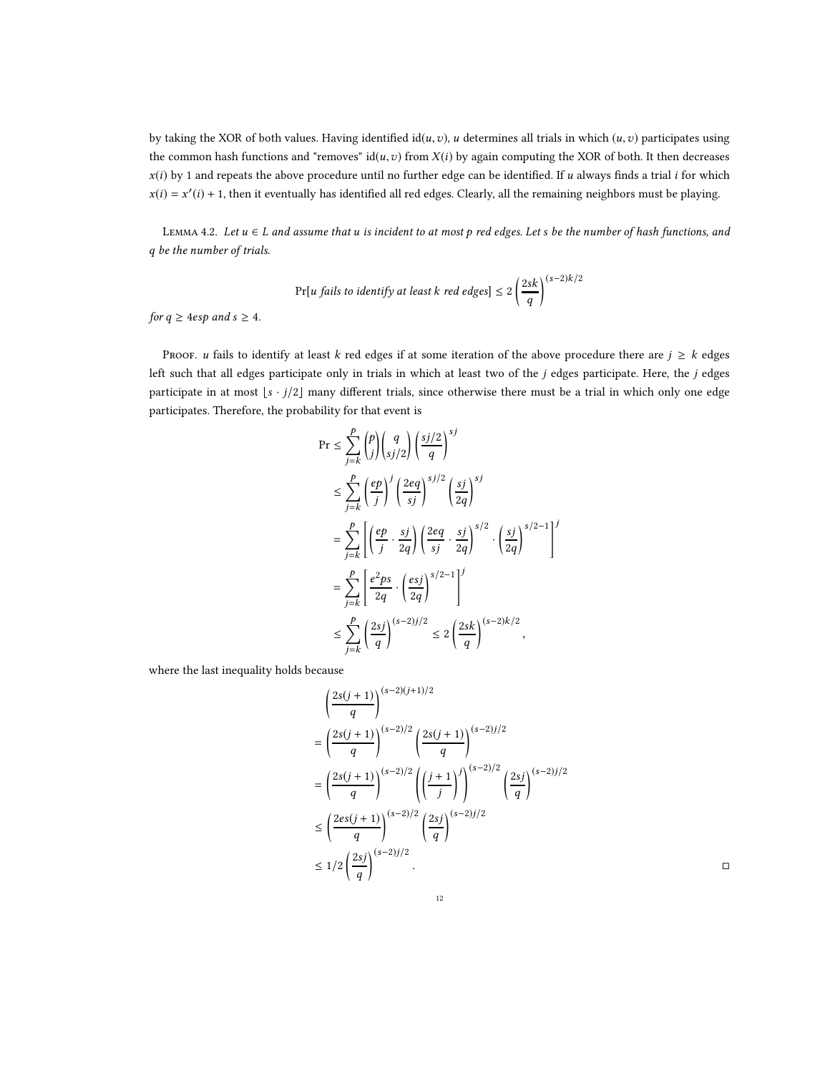by taking the XOR of both values. Having identified  $id(u, v)$ , u determines all trials in which  $(u, v)$  participates using the common hash functions and "removes"  $id(u, v)$  from  $X(i)$  by again computing the XOR of both. It then decreases  $x(i)$  by 1 and repeats the above procedure until no further edge can be identified. If u always finds a trial i for which  $x(i) = x'(i) + 1$ , then it eventually has identified all red edges. Clearly, all the remaining neighbors must be playing.

<span id="page-11-0"></span>LEMMA 4.2. Let  $u \in L$  and assume that u is incident to at most p red edges. Let s be the number of hash functions, and q be the number of trials.

$$
\Pr[u \text{ fails to identify at least } k \text{ red edges}] \le 2\left(\frac{2sk}{q}\right)^{(s-2)k/2}
$$

for  $q \ge 4$ esp and  $s \ge 4$ .

PROOF. u fails to identify at least k red edges if at some iteration of the above procedure there are  $j \geq k$  edges left such that all edges participate only in trials in which at least two of the j edges participate. Here, the j edges participate in at most  $\lfloor s \cdot j/2 \rfloor$  many different trials, since otherwise there must be a trial in which only one edge participates. Therefore, the probability for that event is

$$
\begin{split} \Pr &\leq \sum_{j=k}^{p} \binom{p}{j} \binom{q}{sj/2} \left(\frac{sj/2}{q}\right)^{sj} \\ &\leq \sum_{j=k}^{p} \left(\frac{ep}{j}\right)^j \left(\frac{2eq}{sj}\right)^{sj/2} \left(\frac{sj}{2q}\right)^{sj} \\ &= \sum_{j=k}^{p} \left[ \left(\frac{ep}{j} \cdot \frac{sj}{2q}\right) \left(\frac{2eq}{sj} \cdot \frac{sj}{2q}\right)^{s/2} \cdot \left(\frac{sj}{2q}\right)^{s/2-1} \right]^j \\ &= \sum_{j=k}^{p} \left[ \frac{e^2ps}{2q} \cdot \left(\frac{esj}{2q}\right)^{s/2-1} \right]^j \\ &\leq \sum_{j=k}^{p} \left(\frac{2sj}{q}\right)^{(s-2)j/2} \leq 2 \left(\frac{2sk}{q}\right)^{(s-2)k/2}, \end{split}
$$

where the last inequality holds because

$$
\left(\frac{2s(j+1)}{q}\right)^{(s-2)(j+1)/2}
$$
\n
$$
= \left(\frac{2s(j+1)}{q}\right)^{(s-2)/2} \left(\frac{2s(j+1)}{q}\right)^{(s-2)/2}
$$
\n
$$
= \left(\frac{2s(j+1)}{q}\right)^{(s-2)/2} \left(\left(\frac{j+1}{j}\right)^j\right)^{(s-2)/2} \left(\frac{2sj}{q}\right)^{(s-2)/2}
$$
\n
$$
\leq \left(\frac{2es(j+1)}{q}\right)^{(s-2)/2} \left(\frac{2sj}{q}\right)^{(s-2)/2}
$$
\n
$$
\leq 1/2 \left(\frac{2sj}{q}\right)^{(s-2)/2}.
$$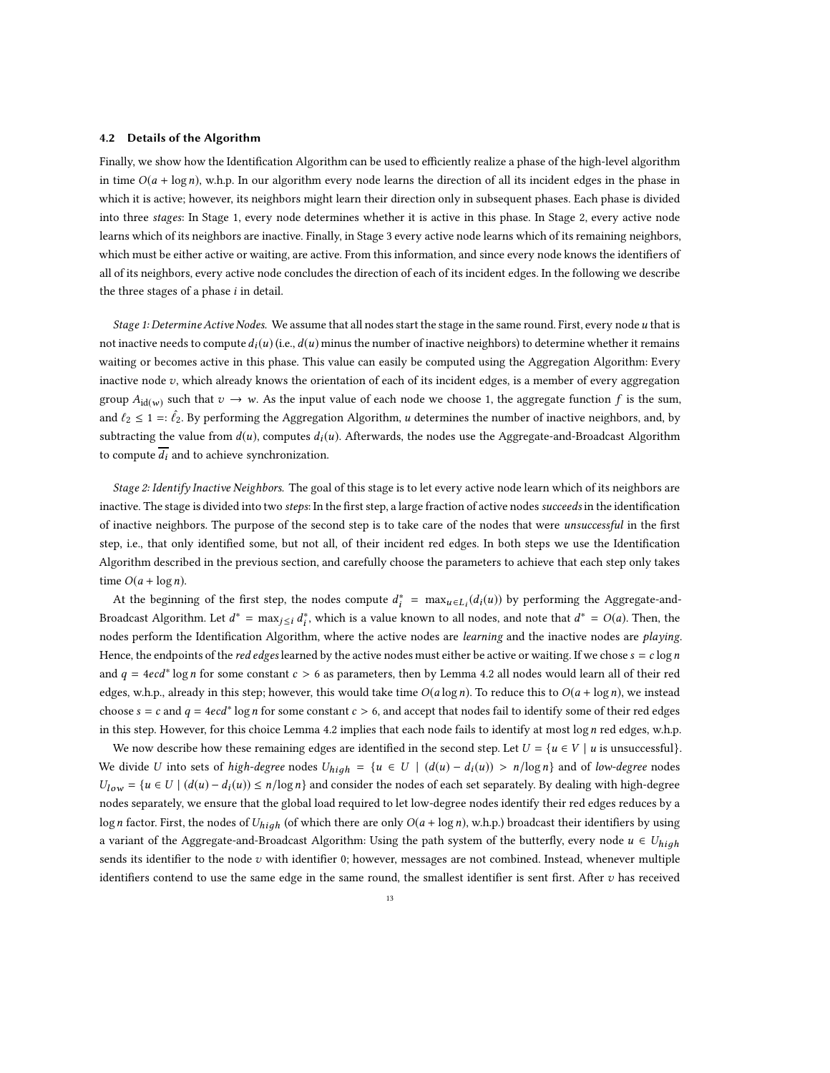#### 4.2 Details of the Algorithm

Finally, we show how the Identification Algorithm can be used to efficiently realize a phase of the high-level algorithm in time  $O(a + \log n)$ , w.h.p. In our algorithm every node learns the direction of all its incident edges in the phase in which it is active; however, its neighbors might learn their direction only in subsequent phases. Each phase is divided into three stages: In Stage 1, every node determines whether it is active in this phase. In Stage 2, every active node learns which of its neighbors are inactive. Finally, in Stage 3 every active node learns which of its remaining neighbors, which must be either active or waiting, are active. From this information, and since every node knows the identifiers of all of its neighbors, every active node concludes the direction of each of its incident edges. In the following we describe the three stages of a phase  $i$  in detail.

Stage 1: Determine Active Nodes. We assume that all nodes start the stage in the same round. First, every node u that is not inactive needs to compute  $d_i(u)$  (i.e.,  $d(u)$  minus the number of inactive neighbors) to determine whether it remains waiting or becomes active in this phase. This value can easily be computed using the Aggregation Algorithm: Every inactive node  $v$ , which already knows the orientation of each of its incident edges, is a member of every aggregation group  $A_{\text{id}(w)}$  such that  $v \to w$ . As the input value of each node we choose 1, the aggregate function f is the sum, and  $\ell_2 \leq 1 =: \hat{\ell}_2$ . By performing the Aggregation Algorithm, u determines the number of inactive neighbors, and, by subtracting the value from  $d(u)$ , computes  $d_i(u)$ . Afterwards, the nodes use the Aggregate-and-Broadcast Algorithm to compute  $\overline{d_i}$  and to achieve synchronization.

Stage 2: Identify Inactive Neighbors. The goal of this stage is to let every active node learn which of its neighbors are inactive. The stage is divided into two steps: In the first step, a large fraction of active nodes succeeds in the identification of inactive neighbors. The purpose of the second step is to take care of the nodes that were *unsuccessful* in the first step, i.e., that only identified some, but not all, of their incident red edges. In both steps we use the Identification Algorithm described in the previous section, and carefully choose the parameters to achieve that each step only takes time  $O(a + \log n)$ .

At the beginning of the first step, the nodes compute  $d_i^* = \max_{u \in L_i} (d_i(u))$  by performing the Aggregate-and-Broadcast Algorithm. Let  $d^* = \max_{j \leq i} d_i^*$ , which is a value known to all nodes, and note that  $d^* = O(a)$ . Then, the nodes perform the Identification Algorithm, where the active nodes are *learning* and the inactive nodes are *playing*. Hence, the endpoints of the *red edges* learned by the active nodes must either be active or waiting. If we chose  $s = c \log n$ and  $q = 4ecd* \log n$  for some constant  $c > 6$  as parameters, then by Lemma [4.2](#page-11-0) all nodes would learn all of their red edges, w.h.p., already in this step; however, this would take time  $O(a \log n)$ . To reduce this to  $O(a + \log n)$ , we instead choose  $s = c$  and  $q = 4e c d^*$  log n for some constant  $c > 6$ , and accept that nodes fail to identify some of their red edges in this step. However, for this choice Lemma [4.2](#page-11-0) implies that each node fails to identify at most  $\log n$  red edges, w.h.p.

We now describe how these remaining edges are identified in the second step. Let  $U = \{u \in V \mid u \text{ is unsuccessful}\}.$ We divide U into sets of high-degree nodes  $U_{high} = \{u \in U \mid (d(u) - d_i(u)) > n/\log n\}$  and of low-degree nodes  $U_{low} = {u \in U \mid (d(u) - d_i(u)) \le n/\log n}$  and consider the nodes of each set separately. By dealing with high-degree nodes separately, we ensure that the global load required to let low-degree nodes identify their red edges reduces by a logn factor. First, the nodes of  $U_{high}$  (of which there are only  $O(a + \log n)$ , w.h.p.) broadcast their identifiers by using a variant of the Aggregate-and-Broadcast Algorithm: Using the path system of the butterfly, every node  $u \in U_{high}$ sends its identifier to the node  $v$  with identifier 0; however, messages are not combined. Instead, whenever multiple identifiers contend to use the same edge in the same round, the smallest identifier is sent first. After  $v$  has received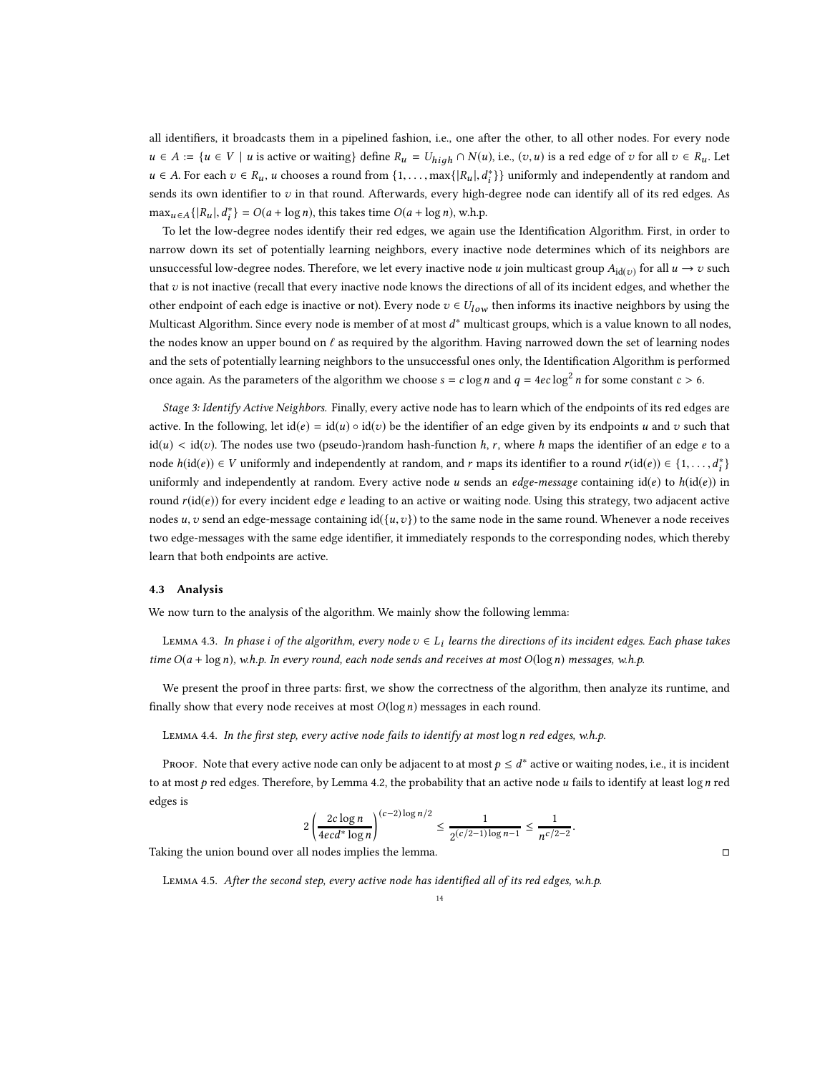all identifiers, it broadcasts them in a pipelined fashion, i.e., one after the other, to all other nodes. For every node  $u \in A := \{u \in V \mid u \text{ is active or waiting} \}$  define  $R_u = U_{hiah} \cap N(u)$ , i.e.,  $(v, u)$  is a red edge of v for all  $v \in R_u$ . Let  $u \in A$ . For each  $v \in R_u$ , u chooses a round from {1, ..., max{|R<sub>u</sub>|,  $d_i^*$ }} uniformly and independently at random and sends its own identifier to  $v$  in that round. Afterwards, every high-degree node can identify all of its red edges. As  $\max_{u \in A} \{|R_u|, d_i^*\} = O(a + \log n)$ , this takes time  $O(a + \log n)$ , w.h.p.

To let the low-degree nodes identify their red edges, we again use the Identification Algorithm. First, in order to narrow down its set of potentially learning neighbors, every inactive node determines which of its neighbors are unsuccessful low-degree nodes. Therefore, we let every inactive node  $u$  join multicast group  $A_{\text{id}(v)}$  for all  $u \to v$  such that v is not inactive (recall that every inactive node knows the directions of all of its incident edges, and whether the other endpoint of each edge is inactive or not). Every node  $v \in U_{low}$  then informs its inactive neighbors by using the Multicast Algorithm. Since every node is member of at most  $d^*$  multicast groups, which is a value known to all nodes, the nodes know an upper bound on  $\ell$  as required by the algorithm. Having narrowed down the set of learning nodes and the sets of potentially learning neighbors to the unsuccessful ones only, the Identification Algorithm is performed once again. As the parameters of the algorithm we choose  $s = c \log n$  and  $q = 4ec \log^2 n$  for some constant  $c > 6$ .

Stage 3: Identify Active Neighbors. Finally, every active node has to learn which of the endpoints of its red edges are active. In the following, let  $id(e) = id(u) \circ id(v)$  be the identifier of an edge given by its endpoints u and v such that  $\text{id}(u) < \text{id}(v)$ . The nodes use two (pseudo-)random hash-function h, r, where h maps the identifier of an edge e to a node  $h(\text{id}(e)) \in V$  uniformly and independently at random, and r maps its identifier to a round  $r(\text{id}(e)) \in \{1, ..., d_i^*\}$ uniformly and independently at random. Every active node u sends an edge-message containing  $id(e)$  to  $h(id(e))$  in round  $r(id(e))$  for every incident edge e leading to an active or waiting node. Using this strategy, two adjacent active nodes u, v send an edge-message containing id( $\{u,v\}$ ) to the same node in the same round. Whenever a node receives two edge-messages with the same edge identifier, it immediately responds to the corresponding nodes, which thereby learn that both endpoints are active.

## 4.3 Analysis

We now turn to the analysis of the algorithm. We mainly show the following lemma:

<span id="page-13-1"></span>LEMMA 4.3. In phase i of the algorithm, every node  $v \in L_i$  learns the directions of its incident edges. Each phase takes time  $O(a + \log n)$ , w.h.p. In every round, each node sends and receives at most  $O(\log n)$  messages, w.h.p.

We present the proof in three parts: first, we show the correctness of the algorithm, then analyze its runtime, and finally show that every node receives at most  $O(\log n)$  messages in each round.

### <span id="page-13-0"></span>Lemma 4.4. In the first step, every active node fails to identify at most logn red edges, w.h.p.

Proof. Note that every active node can only be adjacent to at most  $p \leq d^*$  active or waiting nodes, i.e., it is incident to at most  $p$  red edges. Therefore, by Lemma [4.2,](#page-11-0) the probability that an active node u fails to identify at least  $\log n$  red edges is

$$
2\left(\frac{2c\log n}{4ecd^*\log n}\right)^{(c-2)\log n/2} \le \frac{1}{2^{(c/2-1)\log n - 1}} \le \frac{1}{n^{c/2-2}}
$$

.

Taking the union bound over all nodes implies the lemma.

Lemma 4.5. After the second step, every active node has identified all of its red edges, w.h.p.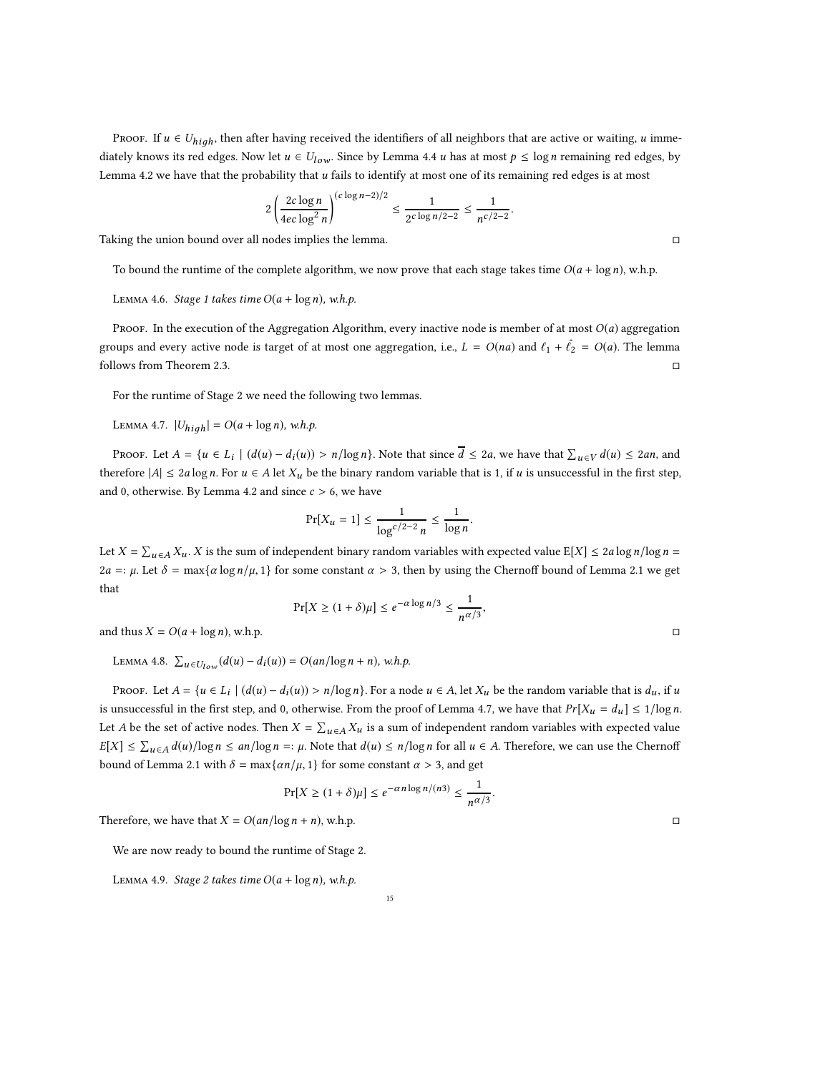PROOF. If  $u \in U_{high}$ , then after having received the identifiers of all neighbors that are active or waiting, u immediately knows its red edges. Now let  $u \in U_{low}$ . Since by Lemma [4.4](#page-13-0) u has at most  $p \leq \log n$  remaining red edges, by Lemma [4.2](#page-11-0) we have that the probability that  $u$  fails to identify at most one of its remaining red edges is at most

$$
2\left(\frac{2c\log n}{4ec\log^2 n}\right)^{(c\log n-2)/2} \le \frac{1}{2^{c\log n/2-2}} \le \frac{1}{n^{c/2-2}}.
$$

Taking the union bound over all nodes implies the lemma.

To bound the runtime of the complete algorithm, we now prove that each stage takes time  $O(a + \log n)$ , w.h.p.

LEMMA 4.6. Stage 1 takes time  $O(a + \log n)$ , w.h.p.

Proof. In the execution of the Aggregation Algorithm, every inactive node is member of at most  $O(a)$  aggregation groups and every active node is target of at most one aggregation, i.e.,  $L = O(na)$  and  $\ell_1 + \hat{\ell}_2 = O(a)$ . The lemma follows from Theorem [2.3.](#page-6-1)

For the runtime of Stage 2 we need the following two lemmas.

<span id="page-14-0"></span>LEMMA 4.7.  $|U_{high}| = O(a + \log n)$ , w.h.p.

PROOF. Let  $A = \{u \in L_i \mid (d(u) - d_i(u)) > n/\log n\}$ . Note that since  $\overline{d} \leq 2a$ , we have that  $\sum_{u \in V} d(u) \leq 2an$ , and therefore  $|A| \le 2a \log n$ . For  $u \in A$  let  $X_u$  be the binary random variable that is 1, if u is unsuccessful in the first step, and 0, otherwise. By Lemma [4.2](#page-11-0) and since  $c > 6$ , we have

$$
\Pr[X_u = 1] \le \frac{1}{\log^{c/2 - 2} n} \le \frac{1}{\log n}.
$$

Let  $X = \sum_{u \in A} X_u$ . X is the sum of independent binary random variables with expected value  $E[X] \le 2a \log n / \log n =$  $2a =: \mu$ . Let  $\delta = \max\{\alpha \log n/\mu, 1\}$  for some constant  $\alpha > 3$ , then by using the Chernoff bound of Lemma [2.1](#page-5-1) we get that

$$
\Pr[X \ge (1+\delta)\mu] \le e^{-\alpha \log n/3} \le \frac{1}{n^{\alpha/3}},
$$

and thus  $X = O(a + \log n)$ , w.h.p.

<span id="page-14-1"></span>LEMMA 4.8.  $\sum_{u \in U_{low}} (d(u) - d_i(u)) = O(an/\log n + n)$ , w.h.p.

Proof. Let  $A = \{u \in L_i \mid (d(u) - d_i(u)) > n/\log n\}$ . For a node  $u \in A$ , let  $X_u$  be the random variable that is  $d_u$ , if  $u$ is unsuccessful in the first step, and 0, otherwise. From the proof of Lemma [4.7,](#page-14-0) we have that  $Pr[X_u = d_u] \le 1/log n$ . Let A be the set of active nodes. Then  $X = \sum_{u \in A} X_u$  is a sum of independent random variables with expected value  $E[X] \leq \sum_{u \in A} d(u) / \log n \leq an / \log n =: \mu$ . Note that  $d(u) \leq n / \log n$  for all  $u \in A$ . Therefore, we can use the Chernoff bound of Lemma [2.1](#page-5-1) with  $\delta = \max\{\alpha n/\mu, 1\}$  for some constant  $\alpha > 3$ , and get

$$
\Pr[X \ge (1+\delta)\mu] \le e^{-\alpha n \log n/(n3)} \le \frac{1}{n^{\alpha/3}}.
$$

Therefore, we have that  $X = O(an/\log n + n)$ , w.h.p.

We are now ready to bound the runtime of Stage 2.

LEMMA 4.9. Stage 2 takes time  $O(a + \log n)$ , w.h.p.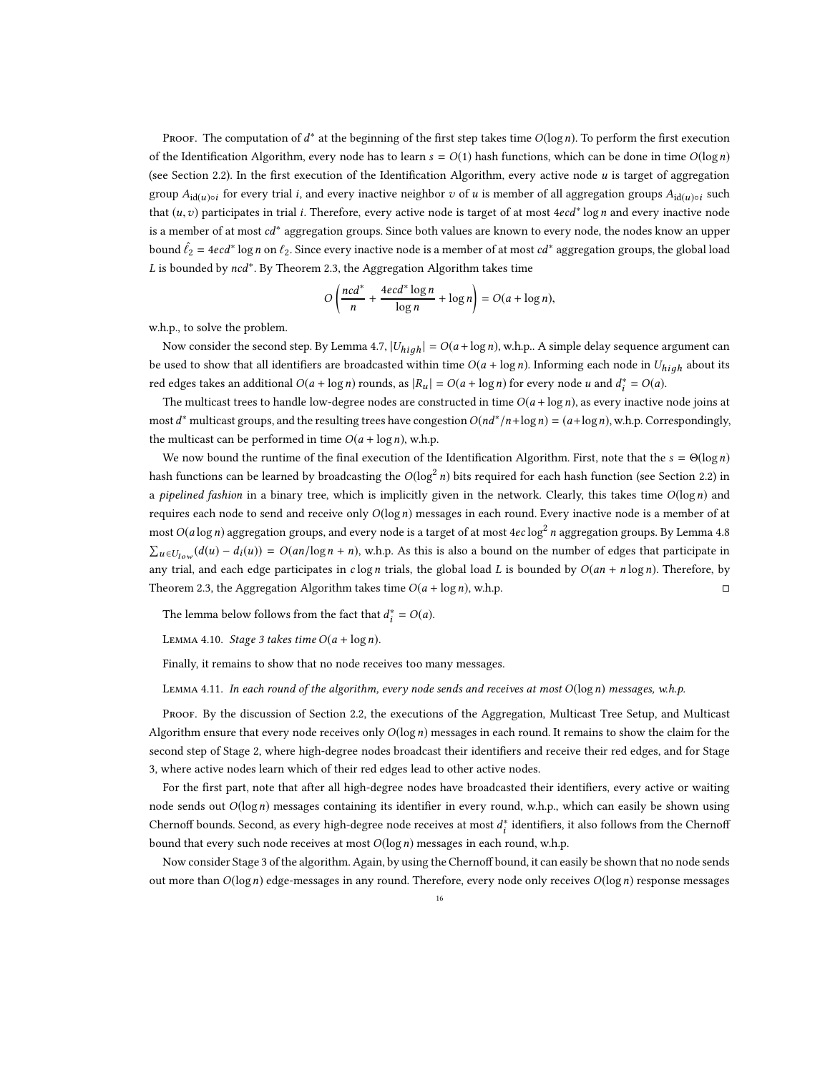Proof. The computation of  $d^*$  at the beginning of the first step takes time  $O(\log n)$ . To perform the first execution of the Identification Algorithm, every node has to learn  $s = O(1)$  hash functions, which can be done in time  $O(\log n)$ (see Section [2.2\)](#page-5-2). In the first execution of the Identification Algorithm, every active node u is target of aggregation group  $A_{\mathrm{id}(u) \circ i}$  for every trial *i*, and every inactive neighbor  $v$  of  $u$  is member of all aggregation groups  $A_{\mathrm{id}(u) \circ i}$  such that  $(u, v)$  participates in trial *i*. Therefore, every active node is target of at most  $4ecd^*$  log *n* and every inactive node is a member of at most cd<sup>∗</sup> aggregation groups. Since both values are known to every node, the nodes know an upper bound  $\hat{\ell_2}$  = 4 $e c d^*$  log $n$  on  $\ell_2$ . Since every inactive node is a member of at most  $c d^*$  aggregation groups, the global load L is bounded by ncd<sup>\*</sup>. By Theorem [2.3,](#page-6-1) the Aggregation Algorithm takes time

$$
O\left(\frac{ncd^*}{n} + \frac{4ecd^* \log n}{\log n} + \log n\right) = O(a + \log n),
$$

w.h.p., to solve the problem.

Now consider the second step. By Lemma [4.7,](#page-14-0)  $|U_{high}| = O(a + \log n)$ , w.h.p.. A simple delay sequence argument can be used to show that all identifiers are broadcasted within time  $O(a + \log n)$ . Informing each node in  $U_{high}$  about its red edges takes an additional  $O(a + \log n)$  rounds, as  $|R_u| = O(a + \log n)$  for every node u and  $d_i^* = O(a)$ .

The multicast trees to handle low-degree nodes are constructed in time  $O(a + \log n)$ , as every inactive node joins at most  $d^*$  multicast groups, and the resulting trees have congestion  $O(nd^*/n + \log n) = (a + \log n)$ , w.h.p. Correspondingly, the multicast can be performed in time  $O(a + \log n)$ , w.h.p.

We now bound the runtime of the final execution of the Identification Algorithm. First, note that the  $s = \Theta(\log n)$ hash functions can be learned by broadcasting the  $O(\log^2 n)$  bits required for each hash function (see Section [2.2\)](#page-5-2) in a pipelined fashion in a binary tree, which is implicitly given in the network. Clearly, this takes time  $O(\log n)$  and requires each node to send and receive only  $O(\log n)$  messages in each round. Every inactive node is a member of at most  $O(a \log n)$  aggregation groups, and every node is a target of at most  $4ec \log^2 n$  aggregation groups. By Lemma [4.8](#page-14-1)  $\sum_{u \in U_{low}} (d(u) - d_i(u)) = O(an/\log n + n)$ , w.h.p. As this is also a bound on the number of edges that participate in any trial, and each edge participates in c log *n* trials, the global load L is bounded by  $O(an + n \log n)$ . Therefore, by Theorem [2.3,](#page-6-1) the Aggregation Algorithm takes time  $O(a + \log n)$ , w.h.p.

The lemma below follows from the fact that  $d_i^* = O(a)$ .

LEMMA 4.10. Stage 3 takes time  $O(a + \log n)$ .

Finally, it remains to show that no node receives too many messages.

Lemma 4.11. In each round of the algorithm, every node sends and receives at most O(logn) messages, w.h.p.

Proof. By the discussion of Section [2.2,](#page-5-2) the executions of the Aggregation, Multicast Tree Setup, and Multicast Algorithm ensure that every node receives only  $O(\log n)$  messages in each round. It remains to show the claim for the second step of Stage 2, where high-degree nodes broadcast their identifiers and receive their red edges, and for Stage 3, where active nodes learn which of their red edges lead to other active nodes.

For the first part, note that after all high-degree nodes have broadcasted their identifiers, every active or waiting node sends out  $O(\log n)$  messages containing its identifier in every round, w.h.p., which can easily be shown using Chernoff bounds. Second, as every high-degree node receives at most  $d_i^*$  identifiers, it also follows from the Chernoff bound that every such node receives at most  $O(\log n)$  messages in each round, w.h.p.

Now consider Stage 3 of the algorithm. Again, by using the Chernoff bound, it can easily be shown that no node sends out more than  $O(\log n)$  edge-messages in any round. Therefore, every node only receives  $O(\log n)$  response messages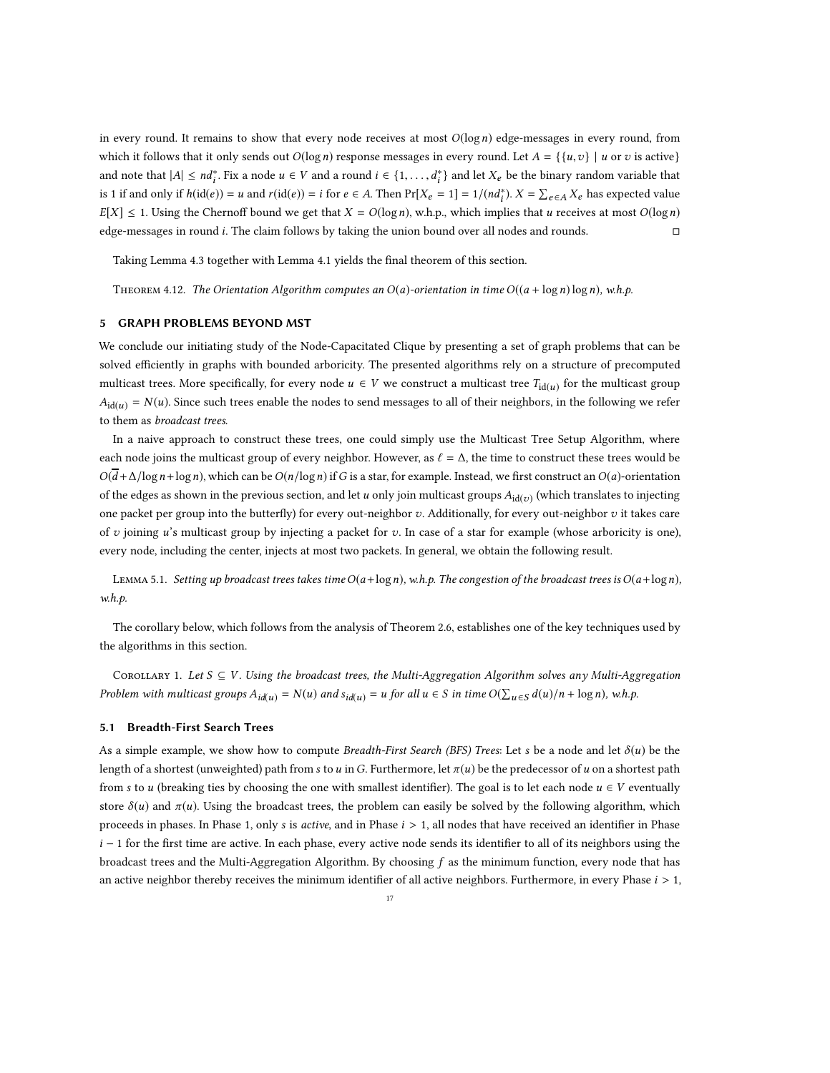in every round. It remains to show that every node receives at most  $O(log n)$  edge-messages in every round, from which it follows that it only sends out  $O(\log n)$  response messages in every round. Let  $A = \{ \{u, v\} \mid u$  or v is active} and note that  $|A| \le nd_i^*$ . Fix a node  $u \in V$  and a round  $i \in \{1, ..., d_i^*\}$  and let  $X_e$  be the binary random variable that is 1 if and only if  $h(id(e)) = u$  and  $r(id(e)) = i$  for  $e \in A$ . Then  $Pr[X_e = 1] = 1/(nd_i^*)$ .  $X = \sum_{e \in A} X_e$  has expected value  $E[X] \leq 1$ . Using the Chernoff bound we get that  $X = O(\log n)$ , w.h.p., which implies that u receives at most  $O(\log n)$ edge-messages in round i. The claim follows by taking the union bound over all nodes and rounds.

Taking Lemma [4.3](#page-13-1) together with Lemma [4.1](#page-10-0) yields the final theorem of this section.

THEOREM 4.12. The Orientation Algorithm computes an  $O(a)$ -orientation in time  $O((a + \log n) \log n)$ , w.h.p.

### 5 GRAPH PROBLEMS BEYOND MST

We conclude our initiating study of the Node-Capacitated Clique by presenting a set of graph problems that can be solved efficiently in graphs with bounded arboricity. The presented algorithms rely on a structure of precomputed multicast trees. More specifically, for every node  $u \in V$  we construct a multicast tree  $T_{\text{id}(u)}$  for the multicast group  $A_{\text{id}(u)} = N(u)$ . Since such trees enable the nodes to send messages to all of their neighbors, in the following we refer to them as broadcast trees.

In a naive approach to construct these trees, one could simply use the Multicast Tree Setup Algorithm, where each node joins the multicast group of every neighbor. However, as  $\ell = \Delta$ , the time to construct these trees would be  $O(\overline{d} + \Delta/\log n + \log n)$ , which can be  $O(n/\log n)$  if G is a star, for example. Instead, we first construct an  $O(a)$ -orientation of the edges as shown in the previous section, and let  $u$  only join multicast groups  $A_{\text{id}(v)}$  (which translates to injecting one packet per group into the butterfly) for every out-neighbor  $v$ . Additionally, for every out-neighbor  $v$  it takes care of v joining u's multicast group by injecting a packet for v. In case of a star for example (whose arboricity is one), every node, including the center, injects at most two packets. In general, we obtain the following result.

<span id="page-16-1"></span>LEMMA 5.1. Setting up broadcast trees takes time  $O(a+\log n)$ , w.h.p. The congestion of the broadcast trees is  $O(a+\log n)$ , w.h.p.

The corollary below, which follows from the analysis of Theorem [2.6,](#page-7-3) establishes one of the key techniques used by the algorithms in this section.

<span id="page-16-2"></span>COROLLARY 1. Let  $S \subseteq V$ . Using the broadcast trees, the Multi-Aggregation Algorithm solves any Multi-Aggregation Problem with multicast groups  $A_{id(u)} = N(u)$  and  $s_{id(u)} = u$  for all  $u \in S$  in time  $O(\sum_{u \in S} d(u)/n + \log n)$ , w.h.p.

### <span id="page-16-0"></span>5.1 Breadth-First Search Trees

As a simple example, we show how to compute Breadth-First Search (BFS) Trees: Let s be a node and let  $\delta(u)$  be the length of a shortest (unweighted) path from s to u in G. Furthermore, let  $\pi(u)$  be the predecessor of u on a shortest path from s to u (breaking ties by choosing the one with smallest identifier). The goal is to let each node  $u \in V$  eventually store  $\delta(u)$  and  $\pi(u)$ . Using the broadcast trees, the problem can easily be solved by the following algorithm, which proceeds in phases. In Phase 1, only s is active, and in Phase  $i > 1$ , all nodes that have received an identifier in Phase  $i - 1$  for the first time are active. In each phase, every active node sends its identifier to all of its neighbors using the broadcast trees and the Multi-Aggregation Algorithm. By choosing f as the minimum function, every node that has an active neighbor thereby receives the minimum identifier of all active neighbors. Furthermore, in every Phase  $i > 1$ ,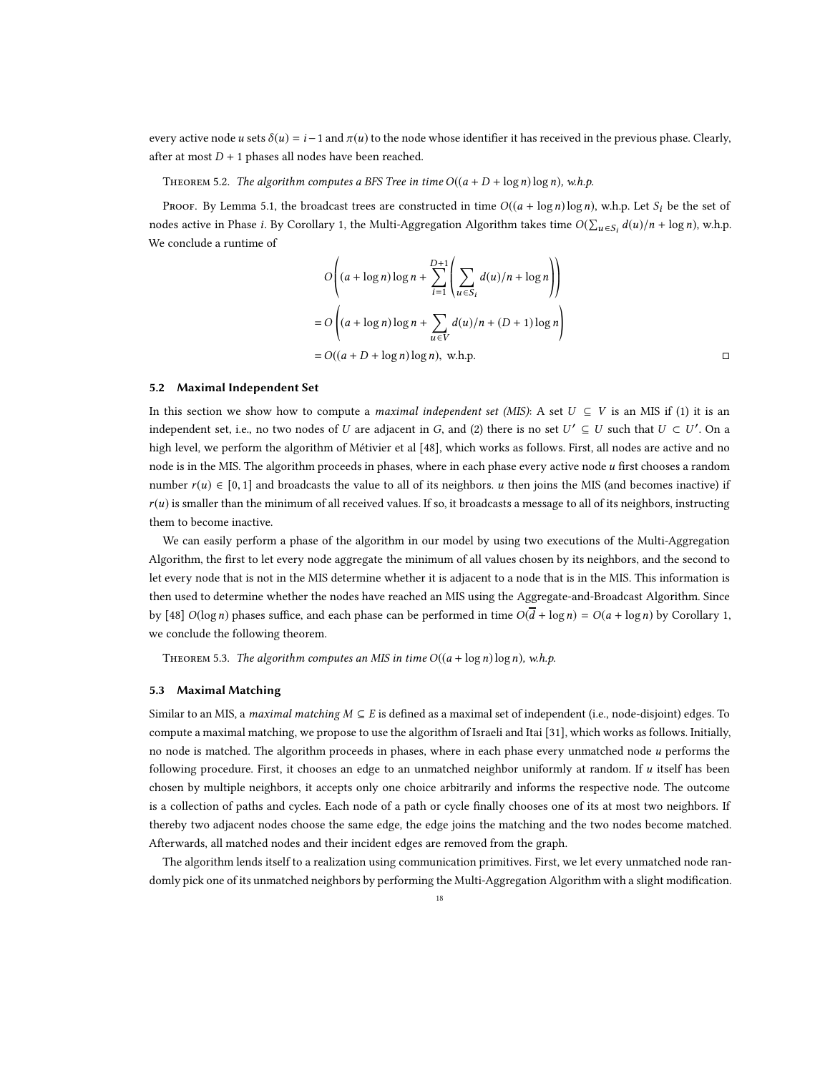every active node u sets  $\delta(u) = i - 1$  and  $\pi(u)$  to the node whose identifier it has received in the previous phase. Clearly, after at most  $D + 1$  phases all nodes have been reached.

THEOREM 5.2. The algorithm computes a BFS Tree in time  $O((a + D + \log n) \log n)$ , w.h.p.

PROOF. By Lemma [5.1,](#page-16-1) the broadcast trees are constructed in time  $O((a + \log n) \log n)$ , w.h.p. Let  $S_i$  be the set of nodes active in Phase *i*. By Corollary [1,](#page-16-2) the Multi-Aggregation Algorithm takes time  $O(\sum_{u \in S_i} d(u)/n + \log n)$ , w.h.p. We conclude a runtime of

$$
O\left((a + \log n) \log n + \sum_{i=1}^{D+1} \left(\sum_{u \in S_i} d(u)/n + \log n\right)\right)
$$
  
= 
$$
O\left((a + \log n) \log n + \sum_{u \in V} d(u)/n + (D+1) \log n\right)
$$
  
= 
$$
O((a + D + \log n) \log n), \text{ w.h.p.}
$$

### <span id="page-17-0"></span>5.2 Maximal Independent Set

In this section we show how to compute a *maximal independent set (MIS)*: A set  $U \subseteq V$  is an MIS if (1) it is an independent set, i.e., no two nodes of U are adjacent in G, and (2) there is no set  $U' \subseteq U$  such that  $U \subset U'$ . On a high level, we perform the algorithm of Métivier et al [\[48](#page-21-16)], which works as follows. First, all nodes are active and no node is in the MIS. The algorithm proceeds in phases, where in each phase every active node u first chooses a random number  $r(u) \in [0, 1]$  and broadcasts the value to all of its neighbors. u then joins the MIS (and becomes inactive) if  $r(u)$  is smaller than the minimum of all received values. If so, it broadcasts a message to all of its neighbors, instructing them to become inactive.

We can easily perform a phase of the algorithm in our model by using two executions of the Multi-Aggregation Algorithm, the first to let every node aggregate the minimum of all values chosen by its neighbors, and the second to let every node that is not in the MIS determine whether it is adjacent to a node that is in the MIS. This information is then used to determine whether the nodes have reached an MIS using the Aggregate-and-Broadcast Algorithm. Since by [\[48](#page-21-16)]  $O(\log n)$  phases suffice, and each phase can be performed in time  $O(d + \log n) = O(a + \log n)$  by Corollary [1,](#page-16-2) we conclude the following theorem.

<span id="page-17-1"></span>THEOREM 5.3. The algorithm computes an MIS in time  $O((a + \log n) \log n)$ , w.h.p.

### 5.3 Maximal Matching

Similar to an MIS, a *maximal matching*  $M \subseteq E$  is defined as a maximal set of independent (i.e., node-disjoint) edges. To compute a maximal matching, we propose to use the algorithm of Israeli and Itai [\[31\]](#page-20-28), which works as follows. Initially, no node is matched. The algorithm proceeds in phases, where in each phase every unmatched node u performs the following procedure. First, it chooses an edge to an unmatched neighbor uniformly at random. If u itself has been chosen by multiple neighbors, it accepts only one choice arbitrarily and informs the respective node. The outcome is a collection of paths and cycles. Each node of a path or cycle finally chooses one of its at most two neighbors. If thereby two adjacent nodes choose the same edge, the edge joins the matching and the two nodes become matched. Afterwards, all matched nodes and their incident edges are removed from the graph.

The algorithm lends itself to a realization using communication primitives. First, we let every unmatched node randomly pick one of its unmatched neighbors by performing the Multi-Aggregation Algorithm with a slight modification.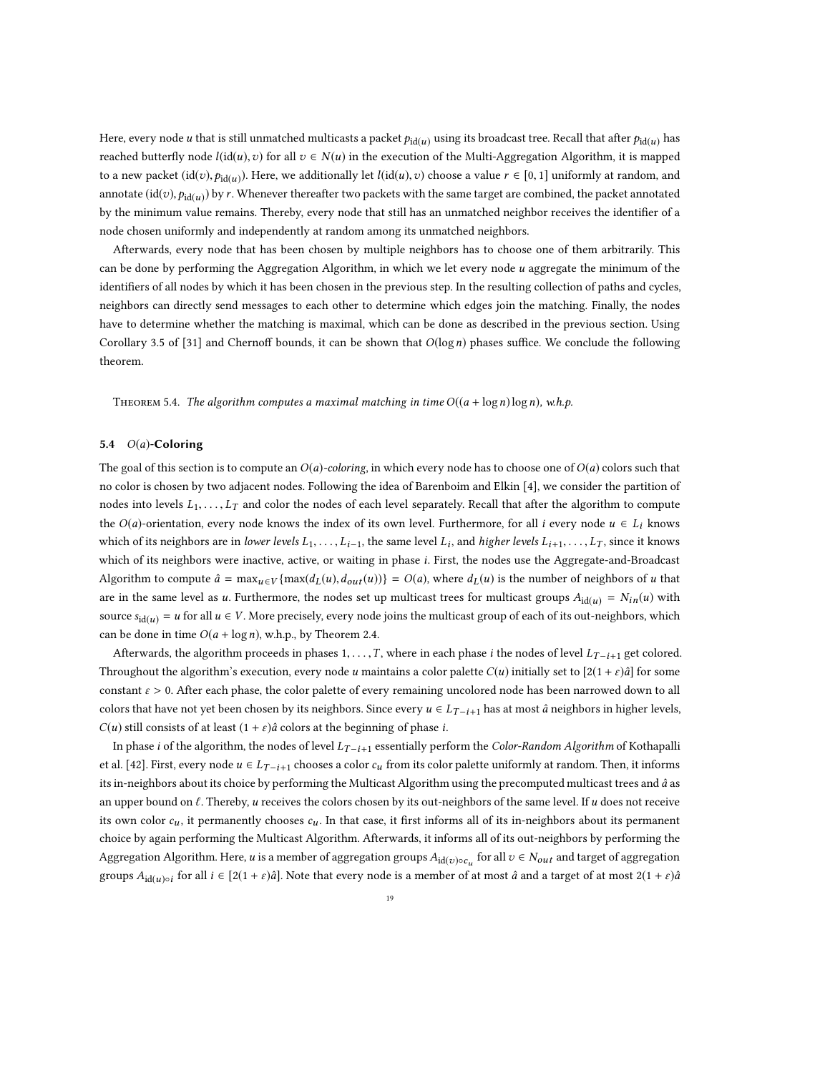Here, every node  $u$  that is still unmatched multicasts a packet  $p_{\rm id(u)}$  using its broadcast tree. Recall that after  $p_{\rm id(u)}$  has reached butterfly node  $l(id(u),v)$  for all  $v \in N(u)$  in the execution of the Multi-Aggregation Algorithm, it is mapped to a new packet  $(id(v),p_{id(u)})$ . Here, we additionally let  $l(id(u),v)$  choose a value  $r \in [0,1]$  uniformly at random, and annotate  $(\mathrm{id}(v),p_{\mathrm{id}(u)})$  by  $r$ . Whenever thereafter two packets with the same target are combined, the packet annotated by the minimum value remains. Thereby, every node that still has an unmatched neighbor receives the identifier of a node chosen uniformly and independently at random among its unmatched neighbors.

Afterwards, every node that has been chosen by multiple neighbors has to choose one of them arbitrarily. This can be done by performing the Aggregation Algorithm, in which we let every node u aggregate the minimum of the identifiers of all nodes by which it has been chosen in the previous step. In the resulting collection of paths and cycles, neighbors can directly send messages to each other to determine which edges join the matching. Finally, the nodes have to determine whether the matching is maximal, which can be done as described in the previous section. Using Corollary 3.5 of [\[31\]](#page-20-28) and Chernoff bounds, it can be shown that  $O(log n)$  phases suffice. We conclude the following theorem.

THEOREM 5.4. The algorithm computes a maximal matching in time  $O((a + \log n) \log n)$ , w.h.p.

# <span id="page-18-0"></span>5.4 O(a)-Coloring

The goal of this section is to compute an  $O(a)$ -coloring, in which every node has to choose one of  $O(a)$  colors such that no color is chosen by two adjacent nodes. Following the idea of Barenboim and Elkin [\[4](#page-19-3)], we consider the partition of nodes into levels  $L_1, \ldots, L_T$  and color the nodes of each level separately. Recall that after the algorithm to compute the  $O(a)$ -orientation, every node knows the index of its own level. Furthermore, for all i every node  $u \in L_i$  knows which of its neighbors are in *lower levels*  $L_1, \ldots, L_{i-1}$ , the same level  $L_i$ , and *higher levels*  $L_{i+1}, \ldots, L_T$ , since it knows which of its neighbors were inactive, active, or waiting in phase *i*. First, the nodes use the Aggregate-and-Broadcast Algorithm to compute  $\hat{a} = \max_{u \in V} \{ \max(d_L(u), d_{out}(u)) \} = O(a)$ , where  $d_L(u)$  is the number of neighbors of u that are in the same level as u. Furthermore, the nodes set up multicast trees for multicast groups  $A_{\text{id}(u)} = N_{in}(u)$  with source  $s_{\text{id}(u)} = u$  for all  $u \in V$ . More precisely, every node joins the multicast group of each of its out-neighbors, which can be done in time  $O(a + \log n)$ , w.h.p., by Theorem [2.4.](#page-7-2)

Afterwards, the algorithm proceeds in phases 1, . . . , T, where in each phase *i* the nodes of level  $L_{T-i+1}$  get colored. Throughout the algorithm's execution, every node u maintains a color palette  $C(u)$  initially set to  $[2(1 + \varepsilon)\hat{a}]$  for some constant  $\varepsilon > 0$ . After each phase, the color palette of every remaining uncolored node has been narrowed down to all colors that have not yet been chosen by its neighbors. Since every  $u \in L_{T-i+1}$  has at most  $\hat{a}$  neighbors in higher levels,  $C(u)$  still consists of at least  $(1 + \varepsilon)\hat{a}$  colors at the beginning of phase *i*.

In phase i of the algorithm, the nodes of level  $L_{T-i+1}$  essentially perform the Color-Random Algorithm of Kothapalli et al. [\[42](#page-21-17)]. First, every node  $u \in L_{T-i+1}$  chooses a color  $c_u$  from its color palette uniformly at random. Then, it informs its in-neighbors about its choice by performing the Multicast Algorithm using the precomputed multicast trees and â as an upper bound on  $\ell$ . Thereby, u receives the colors chosen by its out-neighbors of the same level. If u does not receive its own color  $c_u$ , it permanently chooses  $c_u$ . In that case, it first informs all of its in-neighbors about its permanent choice by again performing the Multicast Algorithm. Afterwards, it informs all of its out-neighbors by performing the Aggregation Algorithm. Here,  $u$  is a member of aggregation groups  $A_{\text{id}(v) \circ c_u}$  for all  $v \in N_{out}$  and target of aggregation groups  $A_{id(u)\circ i}$  for all  $i \in [2(1+\varepsilon)\hat{a}]$ . Note that every node is a member of at most  $\hat{a}$  and a target of at most  $2(1+\varepsilon)\hat{a}$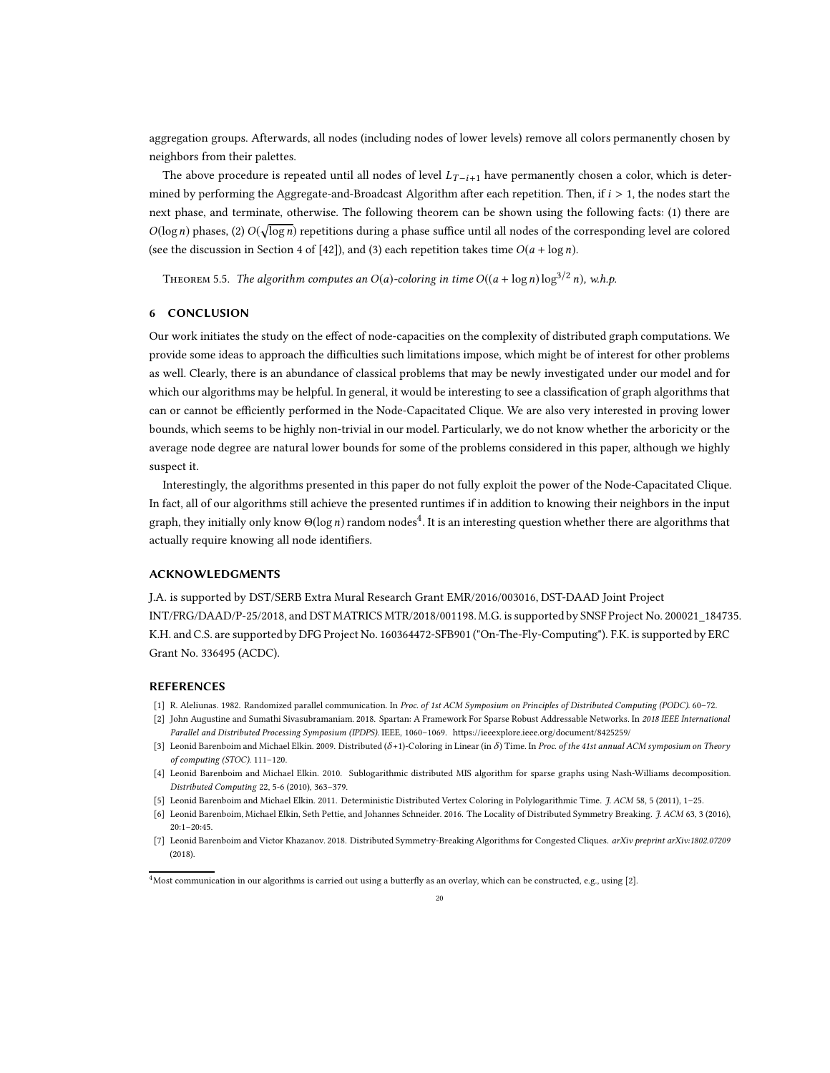aggregation groups. Afterwards, all nodes (including nodes of lower levels) remove all colors permanently chosen by neighbors from their palettes.

The above procedure is repeated until all nodes of level  $L_{T-i+1}$  have permanently chosen a color, which is determined by performing the Aggregate-and-Broadcast Algorithm after each repetition. Then, if  $i > 1$ , the nodes start the next phase, and terminate, otherwise. The following theorem can be shown using the following facts: (1) there are  $O(\log n)$  phases, (2)  $O(\sqrt{\log n})$  repetitions during a phase suffice until all nodes of the corresponding level are colored (see the discussion in Section 4 of [\[42\]](#page-21-17)), and (3) each repetition takes time  $O(a + \log n)$ .

THEOREM 5.5. The algorithm computes an  $O(a)$ -coloring in time  $O((a + \log n) \log^{3/2} n)$ , w.h.p.

### 6 CONCLUSION

Our work initiates the study on the effect of node-capacities on the complexity of distributed graph computations. We provide some ideas to approach the difficulties such limitations impose, which might be of interest for other problems as well. Clearly, there is an abundance of classical problems that may be newly investigated under our model and for which our algorithms may be helpful. In general, it would be interesting to see a classification of graph algorithms that can or cannot be efficiently performed in the Node-Capacitated Clique. We are also very interested in proving lower bounds, which seems to be highly non-trivial in our model. Particularly, we do not know whether the arboricity or the average node degree are natural lower bounds for some of the problems considered in this paper, although we highly suspect it.

Interestingly, the algorithms presented in this paper do not fully exploit the power of the Node-Capacitated Clique. In fact, all of our algorithms still achieve the presented runtimes if in addition to knowing their neighbors in the input graph, they initially only know  $\Theta(\log n)$  random nodes<sup>[4](#page-19-5)</sup>. It is an interesting question whether there are algorithms that actually require knowing all node identifiers.

## ACKNOWLEDGMENTS

J.A. is supported by DST/SERB Extra Mural Research Grant EMR/2016/003016, DST-DAAD Joint Project INT/FRG/DAAD/P-25/2018, and DST MATRICS MTR/2018/001198. M.G. is supported by SNSF Project No. 200021\_184735. K.H. and C.S. are supported by DFG Project No. 160364472-SFB901 ("On-The-Fly-Computing"). F.K. is supported by ERC Grant No. 336495 (ACDC).

### REFERENCES

- <span id="page-19-4"></span>[1] R. Aleliunas. 1982. Randomized parallel communication. In Proc. of 1st ACM Symposium on Principles of Distributed Computing (PODC). 60–72.
- <span id="page-19-6"></span>[2] John Augustine and Sumathi Sivasubramaniam. 2018. Spartan: A Framework For Sparse Robust Addressable Networks. In 2018 IEEE International Parallel and Distributed Processing Symposium (IPDPS). IEEE, 1060–1069.<https://ieeexplore.ieee.org/document/8425259/>
- <span id="page-19-1"></span>[3] Leonid Barenboim and Michael Elkin. 2009. Distributed (δ+1)-Coloring in Linear (in δ) Time. In Proc. of the 41st annual ACM symposium on Theory of computing (STOC). 111–120.
- <span id="page-19-3"></span>[4] Leonid Barenboim and Michael Elkin. 2010. Sublogarithmic distributed MIS algorithm for sparse graphs using Nash-Williams decomposition. Distributed Computing 22, 5-6 (2010), 363–379.
- [5] Leonid Barenboim and Michael Elkin. 2011. Deterministic Distributed Vertex Coloring in Polylogarithmic Time. J. ACM 58, 5 (2011), 1–25.
- <span id="page-19-0"></span>[6] Leonid Barenboim, Michael Elkin, Seth Pettie, and Johannes Schneider. 2016. The Locality of Distributed Symmetry Breaking. J. ACM 63, 3 (2016),  $20:1-20:45$ .
- <span id="page-19-2"></span>[7] Leonid Barenboim and Victor Khazanov. 2018. Distributed Symmetry-Breaking Algorithms for Congested Cliques. arXiv preprint arXiv:1802.07209 (2018).

<span id="page-19-5"></span><sup>4</sup>Most communication in our algorithms is carried out using a butterfly as an overlay, which can be constructed, e.g., using [\[2\]](#page-19-6).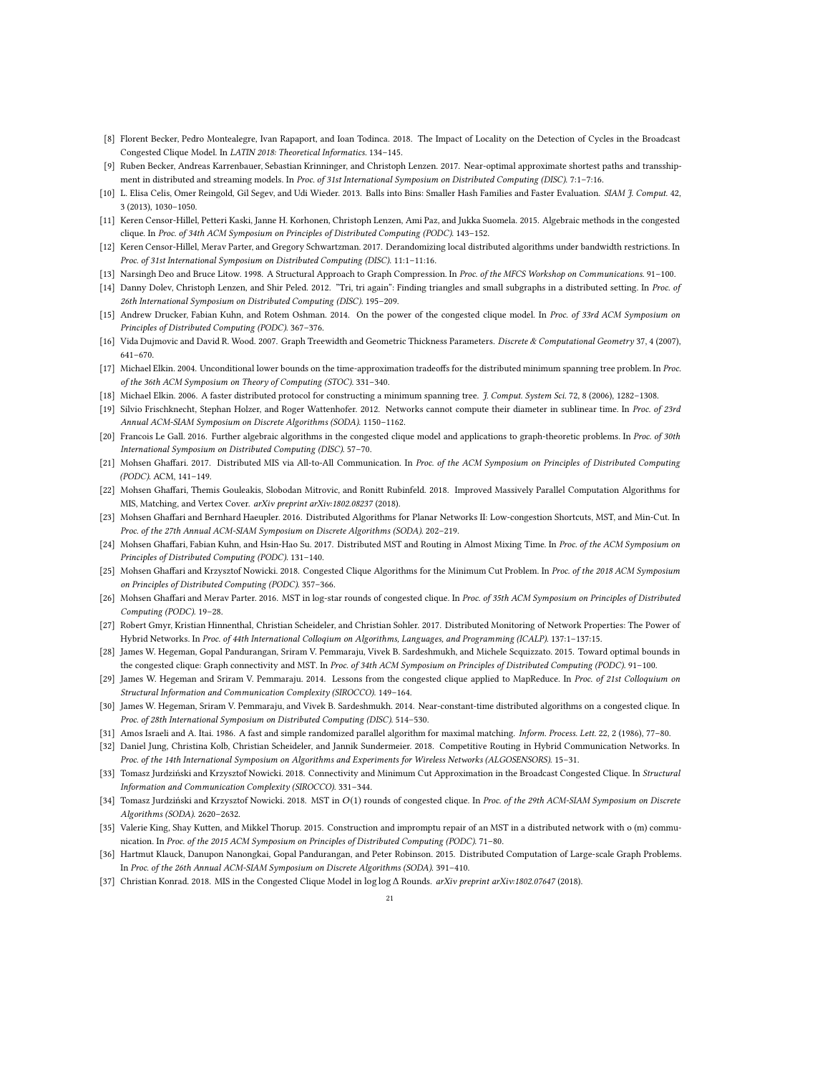- <span id="page-20-0"></span>[8] Florent Becker, Pedro Montealegre, Ivan Rapaport, and Ioan Todinca. 2018. The Impact of Locality on the Detection of Cycles in the Broadcast Congested Clique Model. In LATIN 2018: Theoretical Informatics. 134–145.
- <span id="page-20-1"></span>[9] Ruben Becker, Andreas Karrenbauer, Sebastian Krinninger, and Christoph Lenzen. 2017. Near-optimal approximate shortest paths and transshipment in distributed and streaming models. In Proc. of 31st International Symposium on Distributed Computing (DISC), 7:1–7:16.
- <span id="page-20-24"></span>[10] L. Elisa Celis, Omer Reingold, Gil Segev, and Udi Wieder. 2013. Balls into Bins: Smaller Hash Families and Faster Evaluation. SIAM J. Comput. 42, 3 (2013), 1030–1050.
- <span id="page-20-2"></span>[11] Keren Censor-Hillel, Petteri Kaski, Janne H. Korhonen, Christoph Lenzen, Ami Paz, and Jukka Suomela. 2015. Algebraic methods in the congested clique. In Proc. of 34th ACM Symposium on Principles of Distributed Computing (PODC). 143–152.
- <span id="page-20-3"></span>[12] Keren Censor-Hillel, Merav Parter, and Gregory Schwartzman. 2017. Derandomizing local distributed algorithms under bandwidth restrictions. In Proc. of 31st International Symposium on Distributed Computing (DISC). 11:1–11:16.
- <span id="page-20-22"></span>[13] Narsingh Deo and Bruce Litow. 1998. A Structural Approach to Graph Compression. In Proc. of the MFCS Workshop on Communications. 91-100.
- <span id="page-20-4"></span>[14] Danny Dolev, Christoph Lenzen, and Shir Peled. 2012. "Tri, tri again": Finding triangles and small subgraphs in a distributed setting. In Proc. of 26th International Symposium on Distributed Computing (DISC). 195–209.
- <span id="page-20-17"></span>[15] Andrew Drucker, Fabian Kuhn, and Rotem Oshman. 2014. On the power of the congested clique model. In Proc. of 33rd ACM Symposium on Principles of Distributed Computing (PODC). 367–376.
- <span id="page-20-23"></span>[16] Vida Dujmovic and David R. Wood. 2007. Graph Treewidth and Geometric Thickness Parameters. Discrete & Computational Geometry 37, 4 (2007), 641–670.
- <span id="page-20-18"></span>[17] Michael Elkin. 2004. Unconditional lower bounds on the time-approximation tradeoffs for the distributed minimum spanning tree problem. In Proc. of the 36th ACM Symposium on Theory of Computing (STOC). 331–340.
- <span id="page-20-21"></span>[18] Michael Elkin. 2006. A faster distributed protocol for constructing a minimum spanning tree. J. Comput. System Sci. 72, 8 (2006), 1282–1308.
- <span id="page-20-19"></span>[19] Silvio Frischknecht, Stephan Holzer, and Roger Wattenhofer. 2012. Networks cannot compute their diameter in sublinear time. In Proc. of 23rd Annual ACM-SIAM Symposium on Discrete Algorithms (SODA). 1150–1162.
- <span id="page-20-5"></span>[20] Francois Le Gall. 2016. Further algebraic algorithms in the congested clique model and applications to graph-theoretic problems. In Proc. of 30th International Symposium on Distributed Computing (DISC). 57–70.
- [21] Mohsen Ghaffari. 2017. Distributed MIS via All-to-All Communication. In Proc. of the ACM Symposium on Principles of Distributed Computing (PODC). ACM, 141–149.
- <span id="page-20-6"></span>[22] Mohsen Ghaffari, Themis Gouleakis, Slobodan Mitrovic, and Ronitt Rubinfeld. 2018. Improved Massively Parallel Computation Algorithms for MIS, Matching, and Vertex Cover. arXiv preprint arXiv:1802.08237 (2018).
- <span id="page-20-25"></span>[23] Mohsen Ghaffari and Bernhard Haeupler. 2016. Distributed Algorithms for Planar Networks II: Low-congestion Shortcuts, MST, and Min-Cut. In Proc. of the 27th Annual ACM-SIAM Symposium on Discrete Algorithms (SODA). 202–219.
- <span id="page-20-26"></span>[24] Mohsen Ghaffari, Fabian Kuhn, and Hsin-Hao Su. 2017. Distributed MST and Routing in Almost Mixing Time. In Proc. of the ACM Symposium on Principles of Distributed Computing (PODC). 131–140.
- <span id="page-20-7"></span>[25] Mohsen Ghaffari and Krzysztof Nowicki. 2018. Congested Clique Algorithms for the Minimum Cut Problem. In Proc. of the 2018 ACM Symposium on Principles of Distributed Computing (PODC). 357–366.
- <span id="page-20-8"></span>[26] Mohsen Ghaffari and Merav Parter. 2016. MST in log-star rounds of congested clique. In Proc. of 35th ACM Symposium on Principles of Distributed Computing (PODC). 19–28.
- <span id="page-20-14"></span>[27] Robert Gmyr, Kristian Hinnenthal, Christian Scheideler, and Christian Sohler. 2017. Distributed Monitoring of Network Properties: The Power of Hybrid Networks. In Proc. of 44th International Colloqium on Algorithms, Languages, and Programming (ICALP). 137:1–137:15.
- <span id="page-20-9"></span>[28] James W. Hegeman, Gopal Pandurangan, Sriram V. Pemmaraju, Vivek B. Sardeshmukh, and Michele Scquizzato. 2015. Toward optimal bounds in the congested clique: Graph connectivity and MST. In Proc. of 34th ACM Symposium on Principles of Distributed Computing (PODC). 91-100.
- <span id="page-20-16"></span>[29] James W. Hegeman and Sriram V. Pemmaraju. 2014. Lessons from the congested clique applied to MapReduce. In Proc. of 21st Colloquium on Structural Information and Communication Complexity (SIROCCO). 149–164.
- <span id="page-20-10"></span>[30] James W. Hegeman, Sriram V. Pemmaraju, and Vivek B. Sardeshmukh. 2014. Near-constant-time distributed algorithms on a congested clique. In Proc. of 28th International Symposium on Distributed Computing (DISC). 514–530.
- <span id="page-20-28"></span>[31] Amos Israeli and A. Itai. 1986. A fast and simple randomized parallel algorithm for maximal matching. *Inform. Process. Lett.* 22, 2 (1986), 77-80.
- <span id="page-20-20"></span>[32] Daniel Jung, Christina Kolb, Christian Scheideler, and Jannik Sundermeier. 2018. Competitive Routing in Hybrid Communication Networks. In Proc. of the 14th International Symposium on Algorithms and Experiments for Wireless Networks (ALGOSENSORS). 15–31.
- <span id="page-20-11"></span>[33] Tomasz Jurdziński and Krzysztof Nowicki. 2018. Connectivity and Minimum Cut Approximation in the Broadcast Congested Clique. In Structural Information and Communication Complexity (SIROCCO). 331–344.
- <span id="page-20-12"></span>[34] Tomasz Jurdziński and Krzysztof Nowicki. 2018. MST in  $O(1)$  rounds of congested clique. In Proc. of the 29th ACM-SIAM Symposium on Discrete Algorithms (SODA). 2620–2632.
- <span id="page-20-27"></span>[35] Valerie King, Shay Kutten, and Mikkel Thorup. 2015. Construction and impromptu repair of an MST in a distributed network with o (m) communication. In Proc. of the 2015 ACM Symposium on Principles of Distributed Computing (PODC). 71–80.
- <span id="page-20-15"></span>[36] Hartmut Klauck, Danupon Nanongkai, Gopal Pandurangan, and Peter Robinson. 2015. Distributed Computation of Large-scale Graph Problems. In Proc. of the 26th Annual ACM-SIAM Symposium on Discrete Algorithms (SODA). 391–410.
- <span id="page-20-13"></span>[37] Christian Konrad. 2018. MIS in the Congested Clique Model in log log ∆ Rounds. arXiv preprint arXiv:1802.07647 (2018).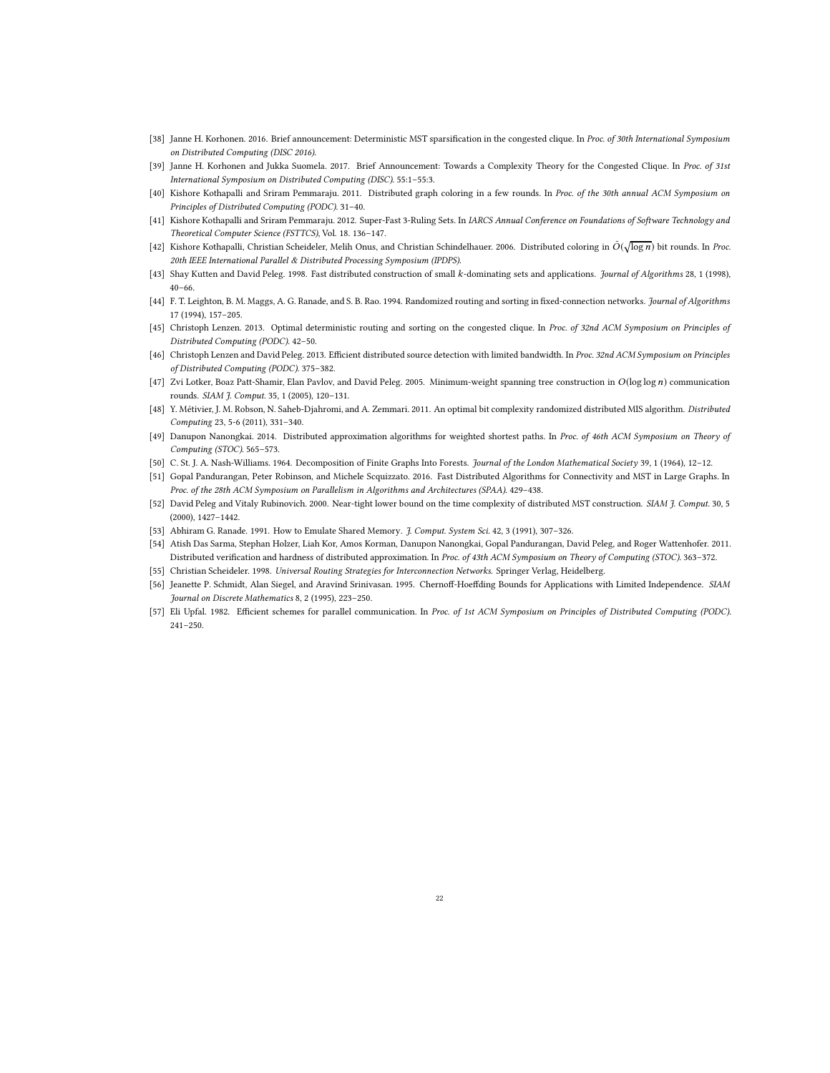- <span id="page-21-1"></span>[38] Janne H. Korhonen. 2016. Brief announcement: Deterministic MST sparsification in the congested clique. In Proc. of 30th International Symposium on Distributed Computing (DISC 2016).
- <span id="page-21-10"></span>[39] Janne H. Korhonen and Jukka Suomela. 2017. Brief Announcement: Towards a Complexity Theory for the Congested Clique. In Proc. of 31st International Symposium on Distributed Computing (DISC). 55:1–55:3.
- <span id="page-21-11"></span>[40] Kishore Kothapalli and Sriram Pemmaraju. 2011. Distributed graph coloring in a few rounds. In Proc. of the 30th annual ACM Symposium on Principles of Distributed Computing (PODC). 31–40.
- <span id="page-21-12"></span>[41] Kishore Kothapalli and Sriram Pemmaraju. 2012. Super-Fast 3-Ruling Sets. In IARCS Annual Conference on Foundations of Software Technology and Theoretical Computer Science (FSTTCS), Vol. 18. 136–147.
- <span id="page-21-17"></span>[42] Kishore Kothapalli, Christian Scheideler, Melih Onus, and Christian Schindelhauer. 2006. Distributed coloring in  $\tilde{O}(\sqrt{\log n})$  bit rounds. In Proc. 20th IEEE International Parallel & Distributed Processing Symposium (IPDPS).
- <span id="page-21-5"></span>[43] Shay Kutten and David Peleg. 1998. Fast distributed construction of small k-dominating sets and applications. Journal of Algorithms 28, 1 (1998), 40–66.
- <span id="page-21-19"></span>[44] F. T. Leighton, B. M. Maggs, A. G. Ranade, and S. B. Rao. 1994. Randomized routing and sorting in fixed-connection networks. Journal of Algorithms 17 (1994), 157–205.
- <span id="page-21-2"></span>[45] Christoph Lenzen. 2013. Optimal deterministic routing and sorting on the congested clique. In Proc. of 32nd ACM Symposium on Principles of Distributed Computing (PODC). 42–50.
- <span id="page-21-6"></span>[46] Christoph Lenzen and David Peleg. 2013. Efficient distributed source detection with limited bandwidth. In Proc. 32nd ACM Symposium on Principles of Distributed Computing (PODC). 375–382.
- <span id="page-21-0"></span>[47] Zvi Lotker, Boaz Patt-Shamir, Elan Pavlov, and David Peleg. 2005. Minimum-weight spanning tree construction in  $O(\log \log n)$  communication rounds. SIAM J. Comput. 35, 1 (2005), 120–131.
- <span id="page-21-16"></span>[48] Y. Métivier, J. M. Robson, N. Saheb-Djahromi, and A. Zemmari. 2011. An optimal bit complexity randomized distributed MIS algorithm. Distributed Computing 23, 5-6 (2011), 331–340.
- <span id="page-21-7"></span>[49] Danupon Nanongkai. 2014. Distributed approximation algorithms for weighted shortest paths. In Proc. of 46th ACM Symposium on Theory of Computing (STOC). 565–573.
- <span id="page-21-13"></span>[50] C. St. J. A. Nash-Williams. 1964. Decomposition of Finite Graphs Into Forests. Journal of the London Mathematical Society 39, 1 (1964), 12–12.
- <span id="page-21-4"></span>[51] Gopal Pandurangan, Peter Robinson, and Michele Scquizzato. 2016. Fast Distributed Algorithms for Connectivity and MST in Large Graphs. In Proc. of the 28th ACM Symposium on Parallelism in Algorithms and Architectures (SPAA). 429–438.
- <span id="page-21-8"></span>[52] David Peleg and Vitaly Rubinovich. 2000. Near-tight lower bound on the time complexity of distributed MST construction. SIAM J. Comput. 30, 5 (2000), 1427–1442.
- <span id="page-21-3"></span>[53] Abhiram G. Ranade. 1991. How to Emulate Shared Memory. J. Comput. System Sci. 42, 3 (1991), 307–326.
- <span id="page-21-9"></span>[54] Atish Das Sarma, Stephan Holzer, Liah Kor, Amos Korman, Danupon Nanongkai, Gopal Pandurangan, David Peleg, and Roger Wattenhofer. 2011. Distributed verification and hardness of distributed approximation. In Proc. of 43th ACM Symposium on Theory of Computing (STOC). 363–372.
- <span id="page-21-18"></span>[55] Christian Scheideler. 1998. Universal Routing Strategies for Interconnection Networks. Springer Verlag, Heidelberg.
- <span id="page-21-14"></span>[56] Jeanette P. Schmidt, Alan Siegel, and Aravind Srinivasan. 1995. Chernoff-Hoeffding Bounds for Applications with Limited Independence. SIAM Journal on Discrete Mathematics 8, 2 (1995), 223–250.
- <span id="page-21-15"></span>[57] Eli Upfal. 1982. Efficient schemes for parallel communication. In Proc. of 1st ACM Symposium on Principles of Distributed Computing (PODC). 241–250.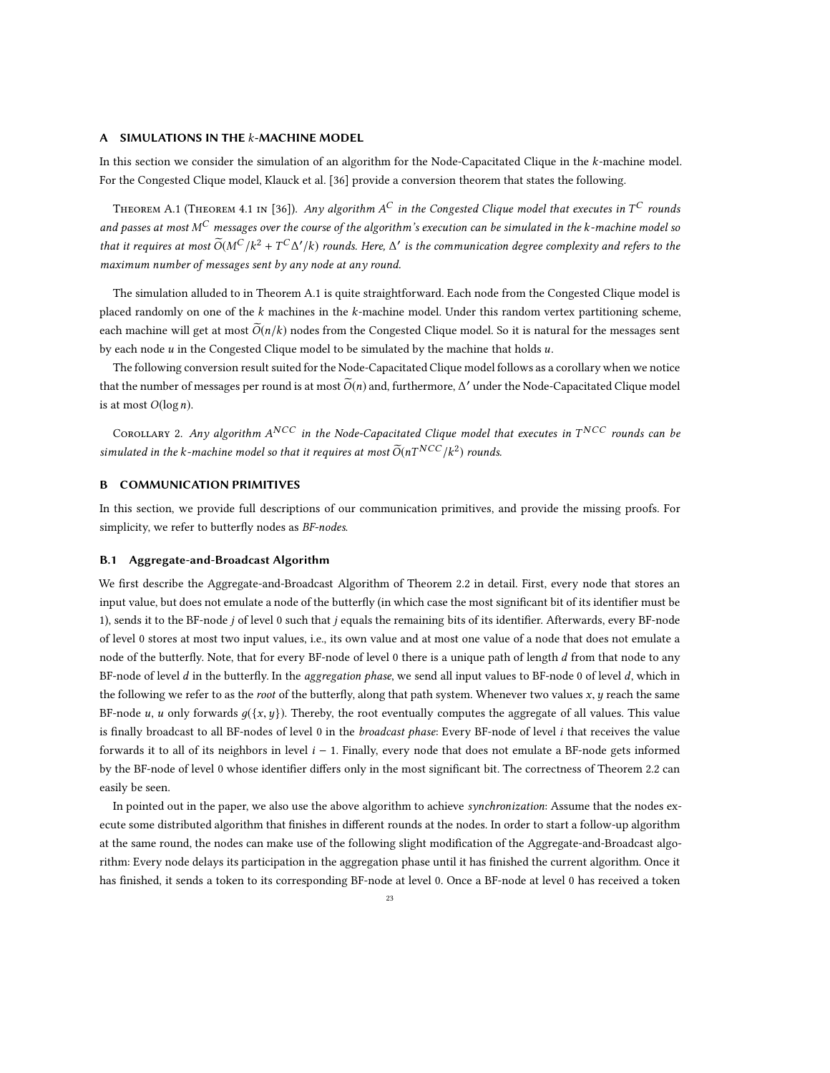### <span id="page-22-0"></span>A SIMULATIONS IN THE  $k$ -MACHINE MODEL

In this section we consider the simulation of an algorithm for the Node-Capacitated Clique in the k-machine model. For the Congested Clique model, Klauck et al. [\[36\]](#page-20-15) provide a conversion theorem that states the following.

<span id="page-22-2"></span>THEOREM A.1 (THEOREM 4.1 IN [\[36\]](#page-20-15)). Any algorithm A $^C$  in the Congested Clique model that executes in T $^C$  rounds and passes at most M<sup>C</sup> messages over the course of the algorithm's execution can be simulated in the k-machine model so that it requires at most  $\widetilde{O}(M^C/k^2+T^C\Delta'/k)$  rounds. Here,  $\Delta'$  is the communication degree complexity and refers to the maximum number of messages sent by any node at any round.

The simulation alluded to in Theorem [A.1](#page-22-2) is quite straightforward. Each node from the Congested Clique model is placed randomly on one of the  $k$  machines in the  $k$ -machine model. Under this random vertex partitioning scheme, each machine will get at most  $\tilde{O}(n/k)$  nodes from the Congested Clique model. So it is natural for the messages sent by each node  $u$  in the Congested Clique model to be simulated by the machine that holds  $u$ .

The following conversion result suited for the Node-Capacitated Clique model follows as a corollary when we notice that the number of messages per round is at most  $\widetilde{O}(n)$  and, furthermore,  $\Delta'$  under the Node-Capacitated Clique model is at most  $O(\log n)$ .

Corollary 2. Any algorithm  $A^{NCC}$  in the Node-Capacitated Clique model that executes in  $T^{NCC}$  rounds can be simulated in the k-machine model so that it requires at most  $\widetilde{O}(nT^{NCC}/k^2)$  rounds.

# <span id="page-22-1"></span>B COMMUNICATION PRIMITIVES

In this section, we provide full descriptions of our communication primitives, and provide the missing proofs. For simplicity, we refer to butterfly nodes as BF-nodes.

### B.1 Aggregate-and-Broadcast Algorithm

We first describe the Aggregate-and-Broadcast Algorithm of Theorem [2.2](#page-5-3) in detail. First, every node that stores an input value, but does not emulate a node of the butterfly (in which case the most significant bit of its identifier must be 1), sends it to the BF-node j of level 0 such that j equals the remaining bits of its identifier. Afterwards, every BF-node of level 0 stores at most two input values, i.e., its own value and at most one value of a node that does not emulate a node of the butterfly. Note, that for every BF-node of level 0 there is a unique path of length d from that node to any BF-node of level  $d$  in the butterfly. In the aggregation phase, we send all input values to BF-node 0 of level  $d$ , which in the following we refer to as the root of the butterfly, along that path system. Whenever two values  $x, y$  reach the same BF-node u, u only forwards  $g({x, y})$ . Thereby, the root eventually computes the aggregate of all values. This value is finally broadcast to all BF-nodes of level 0 in the broadcast phase: Every BF-node of level  $i$  that receives the value forwards it to all of its neighbors in level  $i - 1$ . Finally, every node that does not emulate a BF-node gets informed by the BF-node of level 0 whose identifier differs only in the most significant bit. The correctness of Theorem [2.2](#page-5-3) can easily be seen.

In pointed out in the paper, we also use the above algorithm to achieve synchronization: Assume that the nodes execute some distributed algorithm that finishes in different rounds at the nodes. In order to start a follow-up algorithm at the same round, the nodes can make use of the following slight modification of the Aggregate-and-Broadcast algorithm: Every node delays its participation in the aggregation phase until it has finished the current algorithm. Once it has finished, it sends a token to its corresponding BF-node at level 0. Once a BF-node at level 0 has received a token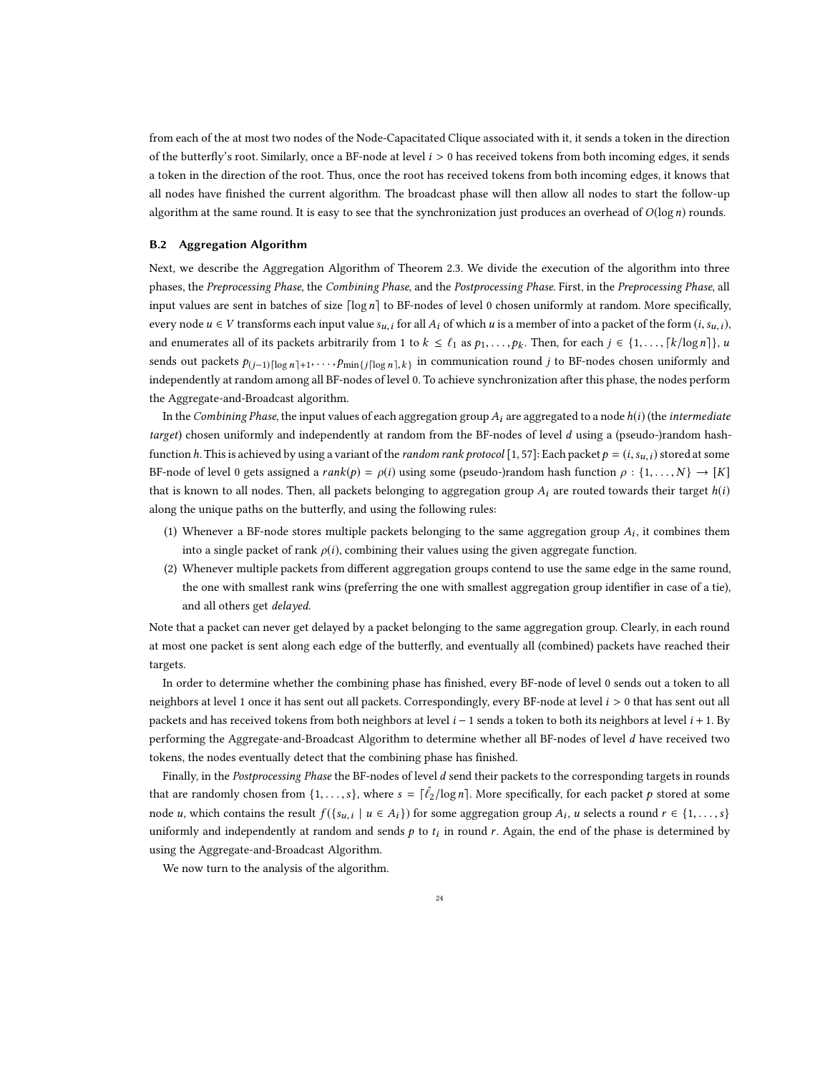from each of the at most two nodes of the Node-Capacitated Clique associated with it, it sends a token in the direction of the butterfly's root. Similarly, once a BF-node at level  $i > 0$  has received tokens from both incoming edges, it sends a token in the direction of the root. Thus, once the root has received tokens from both incoming edges, it knows that all nodes have finished the current algorithm. The broadcast phase will then allow all nodes to start the follow-up algorithm at the same round. It is easy to see that the synchronization just produces an overhead of  $O(\log n)$  rounds.

#### B.2 Aggregation Algorithm

Next, we describe the Aggregation Algorithm of Theorem [2.3.](#page-6-1) We divide the execution of the algorithm into three phases, the Preprocessing Phase, the Combining Phase, and the Postprocessing Phase. First, in the Preprocessing Phase, all input values are sent in batches of size  $\lceil \log n \rceil$  to BF-nodes of level 0 chosen uniformly at random. More specifically, every node  $u \in V$  transforms each input value  $s_{u,i}$  for all  $A_i$  of which u is a member of into a packet of the form  $(i, s_{u,i})$ , and enumerates all of its packets arbitrarily from 1 to  $k \leq \ell_1$  as  $p_1, \ldots, p_k$ . Then, for each  $j \in \{1, \ldots, \lceil k/\log n \rceil\}$ , u sends out packets  $p_{(j-1)\lceil \log n \rceil+1}, \ldots, p_{\min\{j \lceil \log n \rceil, k\}}$  in communication round j to BF-nodes chosen uniformly and independently at random among all BF-nodes of level 0. To achieve synchronization after this phase, the nodes perform the Aggregate-and-Broadcast algorithm.

In the Combining Phase, the input values of each aggregation group  $A_i$  are aggregated to a node  $h(i)$  (the intermediate target) chosen uniformly and independently at random from the BF-nodes of level d using a (pseudo-)random hashfunction h. This is achieved by using a variant of the *random rank protocol* [\[1](#page-19-4), [57\]](#page-21-15): Each packet  $p = (i, s_{u,i})$  stored at some BF-node of level 0 gets assigned a rank(p) =  $\rho(i)$  using some (pseudo-)random hash function  $\rho : \{1, \ldots, N\} \to [K]$ that is known to all nodes. Then, all packets belonging to aggregation group  $A_i$  are routed towards their target  $h(i)$ along the unique paths on the butterfly, and using the following rules:

- (1) Whenever a BF-node stores multiple packets belonging to the same aggregation group  $A_i$ , it combines them into a single packet of rank  $\rho(i)$ , combining their values using the given aggregate function.
- (2) Whenever multiple packets from different aggregation groups contend to use the same edge in the same round, the one with smallest rank wins (preferring the one with smallest aggregation group identifier in case of a tie), and all others get delayed.

Note that a packet can never get delayed by a packet belonging to the same aggregation group. Clearly, in each round at most one packet is sent along each edge of the butterfly, and eventually all (combined) packets have reached their targets.

In order to determine whether the combining phase has finished, every BF-node of level 0 sends out a token to all neighbors at level 1 once it has sent out all packets. Correspondingly, every BF-node at level  $i > 0$  that has sent out all packets and has received tokens from both neighbors at level  $i-1$  sends a token to both its neighbors at level  $i+1$ . By performing the Aggregate-and-Broadcast Algorithm to determine whether all BF-nodes of level d have received two tokens, the nodes eventually detect that the combining phase has finished.

Finally, in the Postprocessing Phase the BF-nodes of level d send their packets to the corresponding targets in rounds that are randomly chosen from  $\{1,\ldots,s\}$ , where  $s = \lceil \hat{\ell}_2 / \log n \rceil$ . More specifically, for each packet p stored at some node u, which contains the result  $f(\{s_{u,i} \mid u \in A_i\})$  for some aggregation group  $A_i$ , u selects a round  $r \in \{1,\ldots,s\}$ uniformly and independently at random and sends  $p$  to  $t_i$  in round r. Again, the end of the phase is determined by using the Aggregate-and-Broadcast Algorithm.

We now turn to the analysis of the algorithm.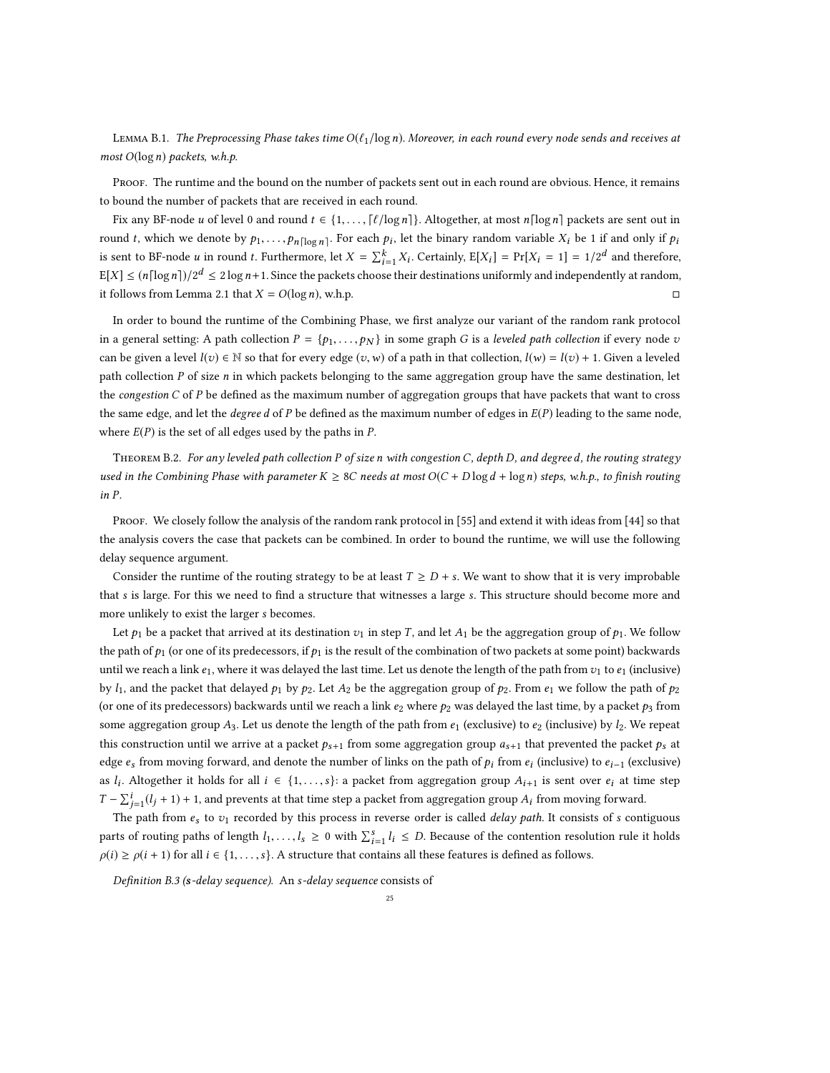<span id="page-24-1"></span>LEMMA B.1. The Preprocessing Phase takes time  $O(\ell_1/\log n)$ . Moreover, in each round every node sends and receives at most  $O(\log n)$  packets, w.h.p.

PROOF. The runtime and the bound on the number of packets sent out in each round are obvious. Hence, it remains to bound the number of packets that are received in each round.

Fix any BF-node u of level 0 and round  $t \in \{1, \ldots, \lceil \ell / \log n \rceil\}$ . Altogether, at most  $n \lceil \log n \rceil$  packets are sent out in round t, which we denote by  $p_1, \ldots, p_n \lfloor \log n \rfloor$ . For each  $p_i$ , let the binary random variable  $X_i$  be 1 if and only if  $p_i$ is sent to BF-node *u* in round *t*. Furthermore, let  $X = \sum_{i=1}^{k} X_i$ . Certainly,  $E[X_i] = Pr[X_i = 1] = 1/2^d$  and therefore,  $E[X] \le (n \lceil \log n \rceil)/2^d \le 2 \log n + 1$ . Since the packets choose their destinations uniformly and independently at random, it follows from Lemma [2.1](#page-5-1) that  $X = O(\log n)$ , w.h.p.

In order to bound the runtime of the Combining Phase, we first analyze our variant of the random rank protocol in a general setting: A path collection  $P = \{p_1, \ldots, p_N\}$  in some graph G is a leveled path collection if every node v can be given a level  $l(v) \in \mathbb{N}$  so that for every edge  $(v, w)$  of a path in that collection,  $l(w) = l(v) + 1$ . Given a leveled path collection P of size n in which packets belonging to the same aggregation group have the same destination, let the congestion  $C$  of  $P$  be defined as the maximum number of aggregation groups that have packets that want to cross the same edge, and let the *degree d* of P be defined as the maximum number of edges in  $E(P)$  leading to the same node, where  $E(P)$  is the set of all edges used by the paths in  $P$ .

<span id="page-24-0"></span>THEOREM B.2. For any leveled path collection P of size n with congestion C, depth D, and degreed, the routing strategy used in the Combining Phase with parameter  $K \geq 8C$  needs at most  $O(C + D \log d + \log n)$  steps, w.h.p., to finish routing in P.

PROOF. We closely follow the analysis of the random rank protocol in [\[55](#page-21-18)] and extend it with ideas from [\[44](#page-21-19)] so that the analysis covers the case that packets can be combined. In order to bound the runtime, we will use the following delay sequence argument.

Consider the runtime of the routing strategy to be at least  $T \geq D + s$ . We want to show that it is very improbable that s is large. For this we need to find a structure that witnesses a large s. This structure should become more and more unlikely to exist the larger s becomes.

Let  $p_1$  be a packet that arrived at its destination  $v_1$  in step T, and let  $A_1$  be the aggregation group of  $p_1$ . We follow the path of  $p_1$  (or one of its predecessors, if  $p_1$  is the result of the combination of two packets at some point) backwards until we reach a link  $e_1$ , where it was delayed the last time. Let us denote the length of the path from  $v_1$  to  $e_1$  (inclusive) by  $l_1$ , and the packet that delayed  $p_1$  by  $p_2$ . Let  $A_2$  be the aggregation group of  $p_2$ . From  $e_1$  we follow the path of  $p_2$ (or one of its predecessors) backwards until we reach a link  $e_2$  where  $p_2$  was delayed the last time, by a packet  $p_3$  from some aggregation group A<sub>3</sub>. Let us denote the length of the path from  $e_1$  (exclusive) to  $e_2$  (inclusive) by  $l_2$ . We repeat this construction until we arrive at a packet  $p_{s+1}$  from some aggregation group  $a_{s+1}$  that prevented the packet  $p_s$  at edge  $e_s$  from moving forward, and denote the number of links on the path of  $p_i$  from  $e_i$  (inclusive) to  $e_{i-1}$  (exclusive) as  $l_i$ . Altogether it holds for all  $i \in \{1, \ldots, s\}$ : a packet from aggregation group  $A_{i+1}$  is sent over  $e_i$  at time step  $T - \sum_{j=1}^{i} (l_j + 1) + 1$ , and prevents at that time step a packet from aggregation group  $A_i$  from moving forward.

The path from  $e_s$  to  $v_1$  recorded by this process in reverse order is called *delay path*. It consists of s contiguous parts of routing paths of length  $l_1, \ldots, l_s \ge 0$  with  $\sum_{i=1}^s l_i \le D$ . Because of the contention resolution rule it holds  $\rho(i) \ge \rho(i+1)$  for all  $i \in \{1, \ldots, s\}$ . A structure that contains all these features is defined as follows.

Definition B.3 (s-delay sequence). An s-delay sequence consists of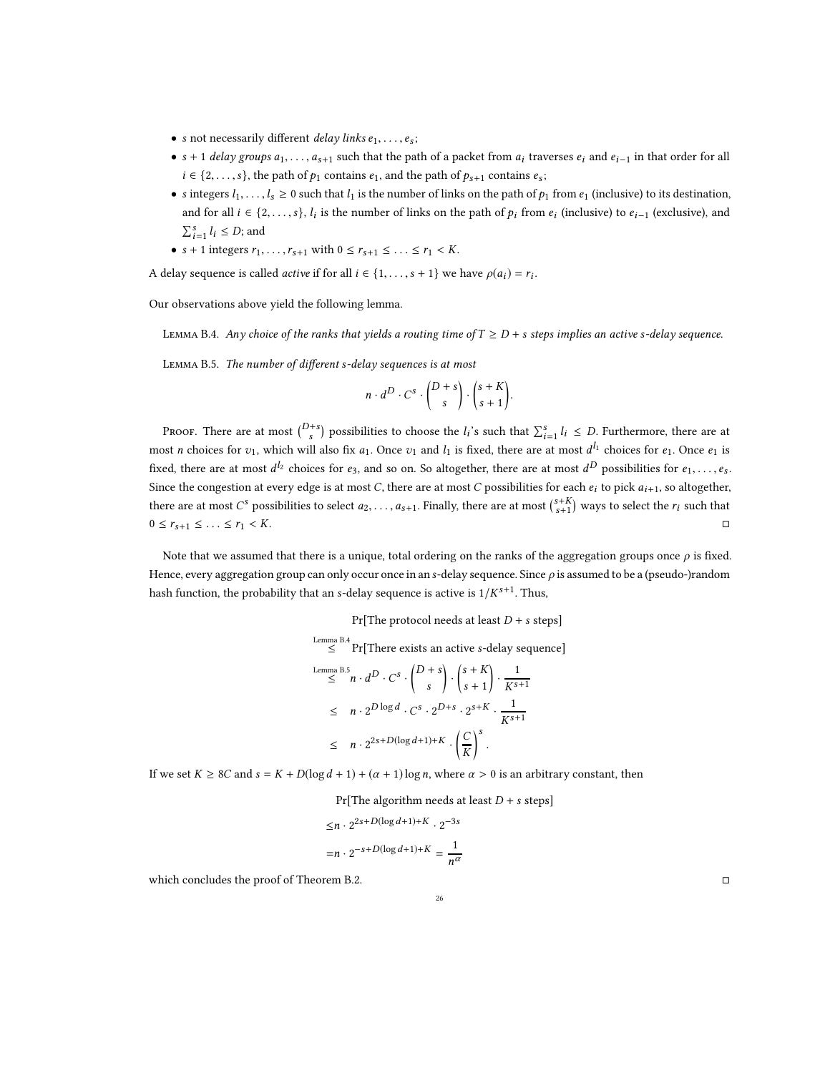- s not necessarily different *delay links*  $e_1, \ldots, e_s$ ;
- s + 1 delay groups  $a_1, \ldots, a_{s+1}$  such that the path of a packet from  $a_i$  traverses  $e_i$  and  $e_{i-1}$  in that order for all  $i \in \{2, \ldots, s\}$ , the path of  $p_1$  contains  $e_1$ , and the path of  $p_{s+1}$  contains  $e_s$ ;
- s integers  $l_1, \ldots, l_s \ge 0$  such that  $l_1$  is the number of links on the path of  $p_1$  from  $e_1$  (inclusive) to its destination, and for all  $i \in \{2, \ldots, s\}$ ,  $l_i$  is the number of links on the path of  $p_i$  from  $e_i$  (inclusive) to  $e_{i-1}$  (exclusive), and  $\sum_{i=1}^{s} l_i \leq D$ ; and
- $s + 1$  integers  $r_1, \ldots, r_{s+1}$  with  $0 \le r_{s+1} \le \ldots \le r_1 < K$ .

A delay sequence is called *active* if for all  $i \in \{1, ..., s + 1\}$  we have  $\rho(a_i) = r_i$ .

Our observations above yield the following lemma.

<span id="page-25-0"></span>LEMMA B.4. Any choice of the ranks that yields a routing time of  $T \ge D + s$  steps implies an active s-delay sequence.

<span id="page-25-1"></span>Lemma B.5. The number of different s-delay sequences is at most

$$
n \cdot d^D \cdot C^s \cdot \binom{D+s}{s} \cdot \binom{s+K}{s+1}.
$$

Proof. There are at most  $\binom{D+s}{s}$  possibilities to choose the  $l_i$ 's such that  $\sum_{i=1}^s l_i \leq D$ . Furthermore, there are at most *n* choices for  $v_1$ , which will also fix  $a_1$ . Once  $v_1$  and  $l_1$  is fixed, there are at most  $d^{l_1}$  choices for  $e_1$ . Once  $e_1$  is fixed, there are at most  $d^{l_2}$  choices for  $e_3$ , and so on. So altogether, there are at most  $d^D$  possibilities for  $e_1,\ldots,e_s.$ Since the congestion at every edge is at most C, there are at most C possibilities for each  $e_i$  to pick  $a_{i+1}$ , so altogether, there are at most  $C^s$  possibilities to select  $a_2, \ldots, a_{s+1}$ . Finally, there are at most  $\binom{s+K}{s+1}$  ways to select the  $r_i$  such that  $0 \leq r_{s+1} \leq \ldots \leq r_1 < K.$ 

Note that we assumed that there is a unique, total ordering on the ranks of the aggregation groups once  $\rho$  is fixed. Hence, every aggregation group can only occur once in an s-delay sequence. Since  $\rho$  is assumed to be a (pseudo-)random hash function, the probability that an s-delay sequence is active is  $1/K^{s+1}$ . Thus,

Pr[The protocol needs at least  $D + s$  steps]

Lemma B.4  
\nLemma B.5  
\n
$$
\leq^n \Pr[\text{There exists an active } s\text{-delay sequence}]
$$
\n
$$
\leq^n n \cdot d^D \cdot C^s \cdot \binom{D+s}{s} \cdot \binom{s+K}{s+1} \cdot \frac{1}{K^{s+1}}
$$
\n
$$
\leq n \cdot 2^{D \log d} \cdot C^s \cdot 2^{D+s} \cdot 2^{s+K} \cdot \frac{1}{K^{s+1}}
$$
\n
$$
\leq n \cdot 2^{2s+D(\log d+1)+K} \cdot \left(\frac{C}{K}\right)^s.
$$

If we set  $K \geq 8C$  and  $s = K + D(\log d + 1) + (\alpha + 1)\log n$ , where  $\alpha > 0$  is an arbitrary constant, then

Pr[The algorithm needs at least  $D + s$  steps]

$$
\leq n \cdot 2^{2s+D(\log d+1)+K} \cdot 2^{-3s}
$$

$$
= n \cdot 2^{-s+D(\log d+1)+K} = \frac{1}{n^{\alpha}}
$$

which concludes the proof of Theorem [B.2.](#page-24-0)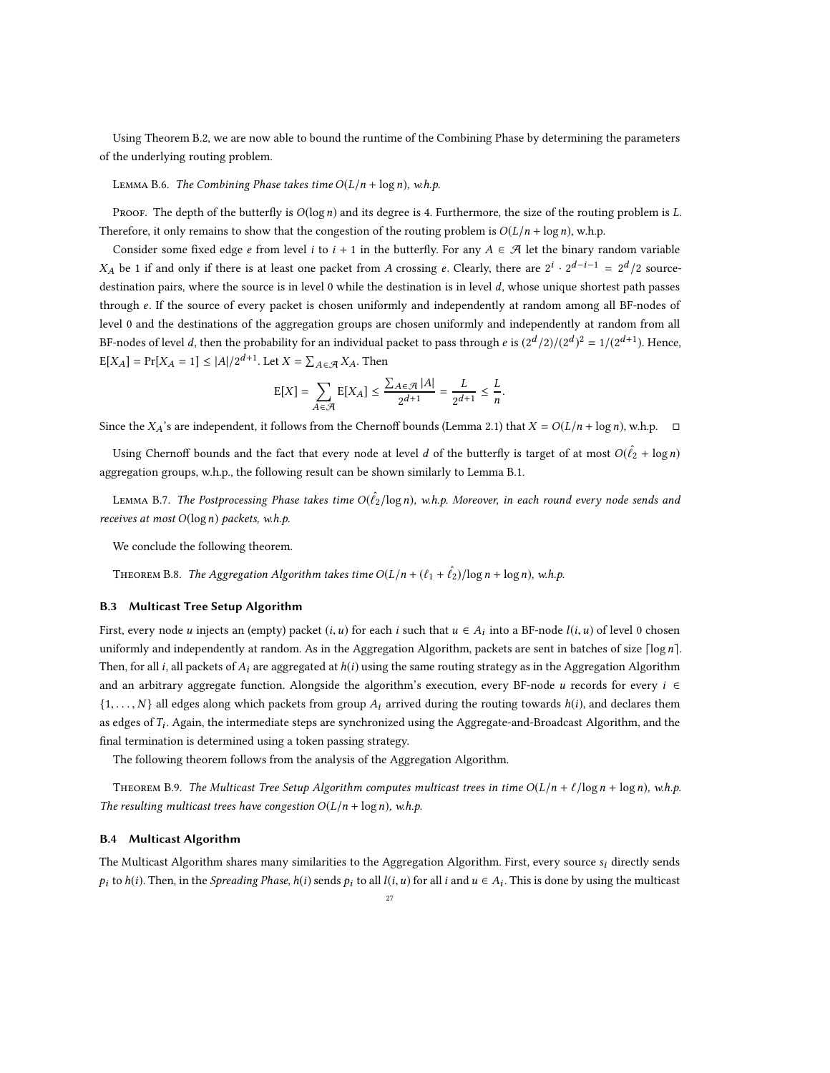Using Theorem [B.2,](#page-24-0) we are now able to bound the runtime of the Combining Phase by determining the parameters of the underlying routing problem.

LEMMA B.6. The Combining Phase takes time  $O(L/n + \log n)$ , w.h.p.

PROOF. The depth of the butterfly is  $O(log n)$  and its degree is 4. Furthermore, the size of the routing problem is L. Therefore, it only remains to show that the congestion of the routing problem is  $O(L/n + \log n)$ , w.h.p.

Consider some fixed edge e from level i to  $i + 1$  in the butterfly. For any  $A \in \mathcal{A}$  let the binary random variable  $X_A$  be 1 if and only if there is at least one packet from A crossing e. Clearly, there are  $2^i \cdot 2^{d-i-1} = 2^d/2$  sourcedestination pairs, where the source is in level 0 while the destination is in level d, whose unique shortest path passes through e. If the source of every packet is chosen uniformly and independently at random among all BF-nodes of level 0 and the destinations of the aggregation groups are chosen uniformly and independently at random from all BF-nodes of level *d*, then the probability for an individual packet to pass through *e* is  $(2^d/2)/(2^d)^2 = 1/(2^{d+1})$ . Hence,  $\mathbb{E}[X_A] = \Pr[X_A = 1] \le |A|/2^{d+1}$ . Let  $X = \sum_{A \in \mathcal{A}} X_A$ . Then

$$
\mathrm{E}[X] = \sum_{A \in \mathcal{A}} \mathrm{E}[X_A] \le \frac{\sum_{A \in \mathcal{A}} |A|}{2^{d+1}} = \frac{L}{2^{d+1}} \le \frac{L}{n}.
$$

Since the  $X_A$ 's are independent, it follows from the Chernoff bounds (Lemma [2.1\)](#page-5-1) that  $X = O(L/n + \log n)$ , w.h.p.  $\Box$ 

Using Chernoff bounds and the fact that every node at level  $d$  of the butterfly is target of at most  $O(\hat{\ell_2} + \log n)$ aggregation groups, w.h.p., the following result can be shown similarly to Lemma [B.1.](#page-24-1)

LEMMA B.7. The Postprocessing Phase takes time O( $\hat{\ell}_2$ / $\log n$ ), w.h.p. Moreover, in each round every node sends and receives at most  $O(\log n)$  packets, w.h.p.

We conclude the following theorem.

# THEOREM B.8. The Aggregation Algorithm takes time  $O(L/n + (\ell_1 + \hat{\ell}_2)/\log n + \log n)$ , w.h.p.

#### B.3 Multicast Tree Setup Algorithm

First, every node u injects an (empty) packet  $(i, u)$  for each i such that  $u \in A_i$  into a BF-node  $l(i, u)$  of level 0 chosen uniformly and independently at random. As in the Aggregation Algorithm, packets are sent in batches of size  $\lceil \log n \rceil$ . Then, for all i, all packets of  $A_i$  are aggregated at  $h(i)$  using the same routing strategy as in the Aggregation Algorithm and an arbitrary aggregate function. Alongside the algorithm's execution, every BF-node u records for every  $i \in$  $\{1,\ldots,N\}$  all edges along which packets from group  $A_i$  arrived during the routing towards  $h(i)$ , and declares them as edges of  $T_i$ . Again, the intermediate steps are synchronized using the Aggregate-and-Broadcast Algorithm, and the final termination is determined using a token passing strategy.

The following theorem follows from the analysis of the Aggregation Algorithm.

THEOREM B.9. The Multicast Tree Setup Algorithm computes multicast trees in time  $O(L/n + \ell/\log n + \log n)$ , w.h.p. The resulting multicast trees have congestion  $O(L/n + \log n)$ , w.h.p.

#### B.4 Multicast Algorithm

The Multicast Algorithm shares many similarities to the Aggregation Algorithm. First, every source  $s_i$  directly sends  $p_i$  to  $h(i)$ . Then, in the *Spreading Phase,*  $h(i)$  *sends*  $p_i$  *to all*  $l(i, u)$  *for all i and*  $u \in A_i$ *.* This is done by using the multicast